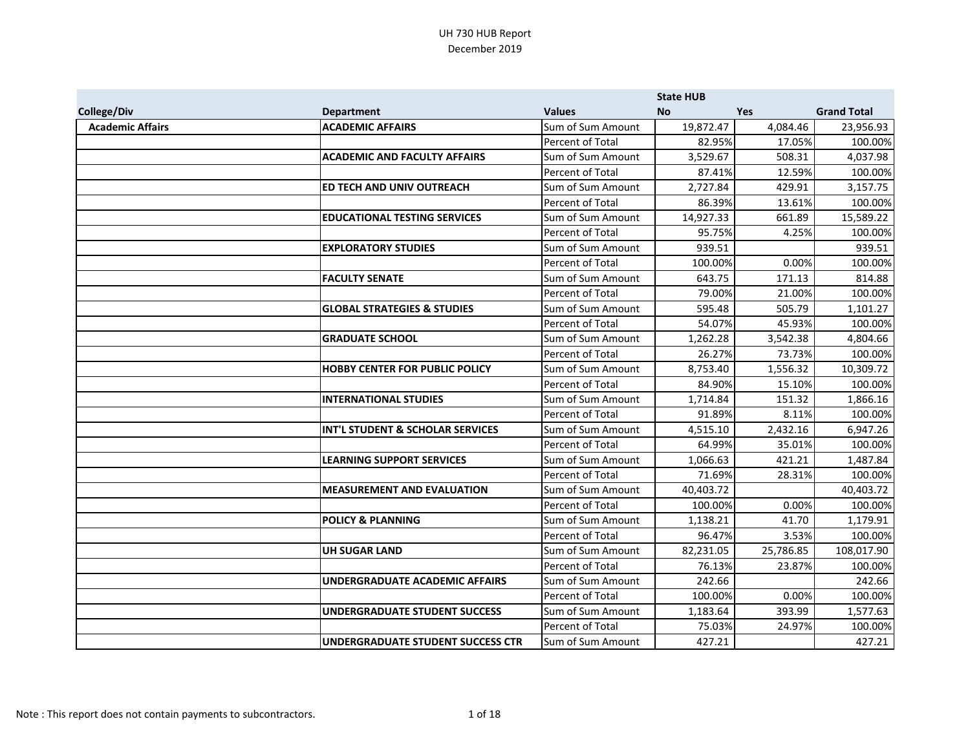|                         |                                        |                   | <b>State HUB</b> |            |                    |
|-------------------------|----------------------------------------|-------------------|------------------|------------|--------------------|
| College/Div             | <b>Department</b>                      | <b>Values</b>     | <b>No</b>        | <b>Yes</b> | <b>Grand Total</b> |
| <b>Academic Affairs</b> | <b>ACADEMIC AFFAIRS</b>                | Sum of Sum Amount | 19,872.47        | 4,084.46   | 23,956.93          |
|                         |                                        | Percent of Total  | 82.95%           | 17.05%     | 100.00%            |
|                         | <b>ACADEMIC AND FACULTY AFFAIRS</b>    | Sum of Sum Amount | 3,529.67         | 508.31     | 4,037.98           |
|                         |                                        | Percent of Total  | 87.41%           | 12.59%     | 100.00%            |
|                         | ED TECH AND UNIV OUTREACH              | Sum of Sum Amount | 2,727.84         | 429.91     | 3,157.75           |
|                         |                                        | Percent of Total  | 86.39%           | 13.61%     | 100.00%            |
|                         | <b>EDUCATIONAL TESTING SERVICES</b>    | Sum of Sum Amount | 14,927.33        | 661.89     | 15,589.22          |
|                         |                                        | Percent of Total  | 95.75%           | 4.25%      | 100.00%            |
|                         | <b>EXPLORATORY STUDIES</b>             | Sum of Sum Amount | 939.51           |            | 939.51             |
|                         |                                        | Percent of Total  | 100.00%          | 0.00%      | 100.00%            |
|                         | <b>FACULTY SENATE</b>                  | Sum of Sum Amount | 643.75           | 171.13     | 814.88             |
|                         |                                        | Percent of Total  | 79.00%           | 21.00%     | 100.00%            |
|                         | <b>GLOBAL STRATEGIES &amp; STUDIES</b> | Sum of Sum Amount | 595.48           | 505.79     | 1,101.27           |
|                         |                                        | Percent of Total  | 54.07%           | 45.93%     | 100.00%            |
|                         | <b>GRADUATE SCHOOL</b>                 | Sum of Sum Amount | 1,262.28         | 3,542.38   | 4,804.66           |
|                         |                                        | Percent of Total  | 26.27%           | 73.73%     | 100.00%            |
|                         | <b>HOBBY CENTER FOR PUBLIC POLICY</b>  | Sum of Sum Amount | 8,753.40         | 1,556.32   | 10,309.72          |
|                         |                                        | Percent of Total  | 84.90%           | 15.10%     | 100.00%            |
|                         | <b>INTERNATIONAL STUDIES</b>           | Sum of Sum Amount | 1,714.84         | 151.32     | 1,866.16           |
|                         |                                        | Percent of Total  | 91.89%           | 8.11%      | 100.00%            |
|                         | INT'L STUDENT & SCHOLAR SERVICES       | Sum of Sum Amount | 4,515.10         | 2,432.16   | 6,947.26           |
|                         |                                        | Percent of Total  | 64.99%           | 35.01%     | 100.00%            |
|                         | <b>LEARNING SUPPORT SERVICES</b>       | Sum of Sum Amount | 1,066.63         | 421.21     | 1,487.84           |
|                         |                                        | Percent of Total  | 71.69%           | 28.31%     | 100.00%            |
|                         | <b>MEASUREMENT AND EVALUATION</b>      | Sum of Sum Amount | 40,403.72        |            | 40,403.72          |
|                         |                                        | Percent of Total  | 100.00%          | 0.00%      | 100.00%            |
|                         | <b>POLICY &amp; PLANNING</b>           | Sum of Sum Amount | 1,138.21         | 41.70      | 1,179.91           |
|                         |                                        | Percent of Total  | 96.47%           | 3.53%      | 100.00%            |
|                         | <b>UH SUGAR LAND</b>                   | Sum of Sum Amount | 82,231.05        | 25,786.85  | 108,017.90         |
|                         |                                        | Percent of Total  | 76.13%           | 23.87%     | 100.00%            |
|                         | UNDERGRADUATE ACADEMIC AFFAIRS         | Sum of Sum Amount | 242.66           |            | 242.66             |
|                         |                                        | Percent of Total  | 100.00%          | 0.00%      | 100.00%            |
|                         | <b>UNDERGRADUATE STUDENT SUCCESS</b>   | Sum of Sum Amount | 1,183.64         | 393.99     | 1,577.63           |
|                         |                                        | Percent of Total  | 75.03%           | 24.97%     | 100.00%            |
|                         | UNDERGRADUATE STUDENT SUCCESS CTR      | Sum of Sum Amount | 427.21           |            | 427.21             |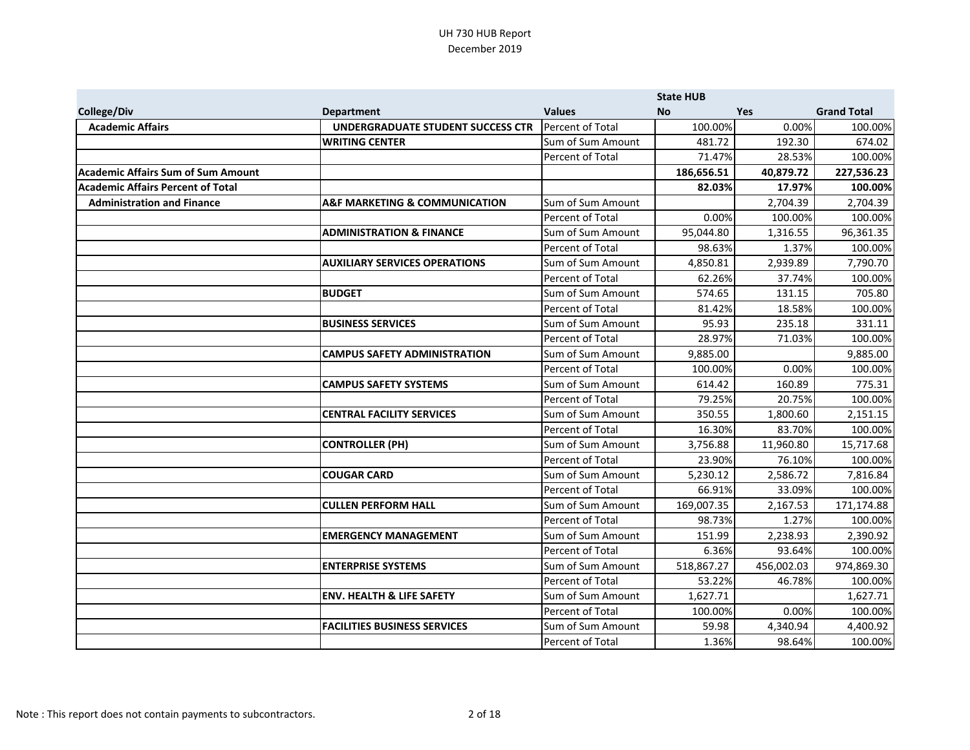|                                           |                                              |                   | <b>State HUB</b> |            |                    |
|-------------------------------------------|----------------------------------------------|-------------------|------------------|------------|--------------------|
| College/Div                               | <b>Department</b>                            | <b>Values</b>     | <b>No</b>        | <b>Yes</b> | <b>Grand Total</b> |
| <b>Academic Affairs</b>                   | UNDERGRADUATE STUDENT SUCCESS CTR            | Percent of Total  | 100.00%          | 0.00%      | 100.00%            |
|                                           | <b>WRITING CENTER</b>                        | Sum of Sum Amount | 481.72           | 192.30     | 674.02             |
|                                           |                                              | Percent of Total  | 71.47%           | 28.53%     | 100.00%            |
| <b>Academic Affairs Sum of Sum Amount</b> |                                              |                   | 186,656.51       | 40,879.72  | 227,536.23         |
| <b>Academic Affairs Percent of Total</b>  |                                              |                   | 82.03%           | 17.97%     | 100.00%            |
| <b>Administration and Finance</b>         | <b>A&amp;F MARKETING &amp; COMMUNICATION</b> | Sum of Sum Amount |                  | 2,704.39   | 2,704.39           |
|                                           |                                              | Percent of Total  | 0.00%            | 100.00%    | 100.00%            |
|                                           | <b>ADMINISTRATION &amp; FINANCE</b>          | Sum of Sum Amount | 95,044.80        | 1,316.55   | 96,361.35          |
|                                           |                                              | Percent of Total  | 98.63%           | 1.37%      | 100.00%            |
|                                           | <b>AUXILIARY SERVICES OPERATIONS</b>         | Sum of Sum Amount | 4,850.81         | 2,939.89   | 7,790.70           |
|                                           |                                              | Percent of Total  | 62.26%           | 37.74%     | 100.00%            |
|                                           | <b>BUDGET</b>                                | Sum of Sum Amount | 574.65           | 131.15     | 705.80             |
|                                           |                                              | Percent of Total  | 81.42%           | 18.58%     | 100.00%            |
|                                           | <b>BUSINESS SERVICES</b>                     | Sum of Sum Amount | 95.93            | 235.18     | 331.11             |
|                                           |                                              | Percent of Total  | 28.97%           | 71.03%     | 100.00%            |
|                                           | <b>CAMPUS SAFETY ADMINISTRATION</b>          | Sum of Sum Amount | 9,885.00         |            | 9,885.00           |
|                                           |                                              | Percent of Total  | 100.00%          | 0.00%      | 100.00%            |
|                                           | <b>CAMPUS SAFETY SYSTEMS</b>                 | Sum of Sum Amount | 614.42           | 160.89     | 775.31             |
|                                           |                                              | Percent of Total  | 79.25%           | 20.75%     | 100.00%            |
|                                           | <b>CENTRAL FACILITY SERVICES</b>             | Sum of Sum Amount | 350.55           | 1,800.60   | 2,151.15           |
|                                           |                                              | Percent of Total  | 16.30%           | 83.70%     | 100.00%            |
|                                           | <b>CONTROLLER (PH)</b>                       | Sum of Sum Amount | 3,756.88         | 11,960.80  | 15,717.68          |
|                                           |                                              | Percent of Total  | 23.90%           | 76.10%     | 100.00%            |
|                                           | <b>COUGAR CARD</b>                           | Sum of Sum Amount | 5,230.12         | 2,586.72   | 7,816.84           |
|                                           |                                              | Percent of Total  | 66.91%           | 33.09%     | 100.00%            |
|                                           | <b>CULLEN PERFORM HALL</b>                   | Sum of Sum Amount | 169,007.35       | 2,167.53   | 171,174.88         |
|                                           |                                              | Percent of Total  | 98.73%           | 1.27%      | 100.00%            |
|                                           | <b>EMERGENCY MANAGEMENT</b>                  | Sum of Sum Amount | 151.99           | 2,238.93   | 2,390.92           |
|                                           |                                              | Percent of Total  | 6.36%            | 93.64%     | 100.00%            |
|                                           | <b>ENTERPRISE SYSTEMS</b>                    | Sum of Sum Amount | 518,867.27       | 456,002.03 | 974,869.30         |
|                                           |                                              | Percent of Total  | 53.22%           | 46.78%     | 100.00%            |
|                                           | <b>ENV. HEALTH &amp; LIFE SAFETY</b>         | Sum of Sum Amount | 1,627.71         |            | 1,627.71           |
|                                           |                                              | Percent of Total  | 100.00%          | 0.00%      | 100.00%            |
|                                           | <b>FACILITIES BUSINESS SERVICES</b>          | Sum of Sum Amount | 59.98            | 4,340.94   | 4,400.92           |
|                                           |                                              | Percent of Total  | 1.36%            | 98.64%     | 100.00%            |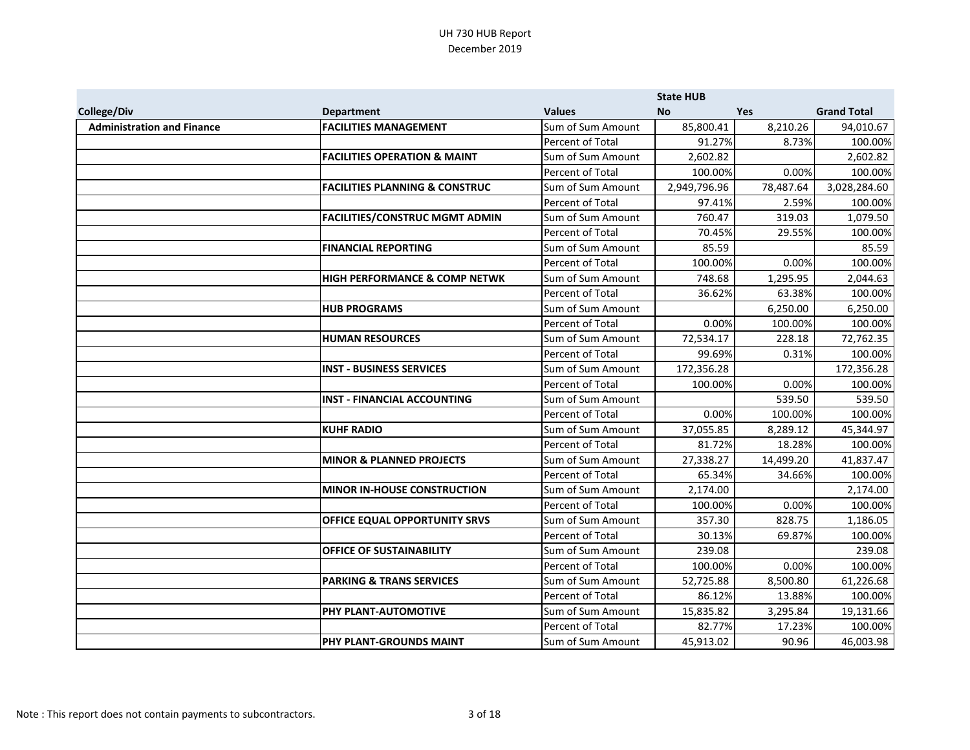|                                   |                                           |                   | <b>State HUB</b> |            |                    |
|-----------------------------------|-------------------------------------------|-------------------|------------------|------------|--------------------|
| College/Div                       | <b>Department</b>                         | <b>Values</b>     | <b>No</b>        | <b>Yes</b> | <b>Grand Total</b> |
| <b>Administration and Finance</b> | <b>FACILITIES MANAGEMENT</b>              | Sum of Sum Amount | 85,800.41        | 8,210.26   | 94,010.67          |
|                                   |                                           | Percent of Total  | 91.27%           | 8.73%      | 100.00%            |
|                                   | <b>FACILITIES OPERATION &amp; MAINT</b>   | Sum of Sum Amount | 2,602.82         |            | 2,602.82           |
|                                   |                                           | Percent of Total  | 100.00%          | 0.00%      | 100.00%            |
|                                   | <b>FACILITIES PLANNING &amp; CONSTRUC</b> | Sum of Sum Amount | 2,949,796.96     | 78,487.64  | 3,028,284.60       |
|                                   |                                           | Percent of Total  | 97.41%           | 2.59%      | 100.00%            |
|                                   | <b>FACILITIES/CONSTRUC MGMT ADMIN</b>     | Sum of Sum Amount | 760.47           | 319.03     | 1,079.50           |
|                                   |                                           | Percent of Total  | 70.45%           | 29.55%     | 100.00%            |
|                                   | <b>FINANCIAL REPORTING</b>                | Sum of Sum Amount | 85.59            |            | 85.59              |
|                                   |                                           | Percent of Total  | 100.00%          | 0.00%      | 100.00%            |
|                                   | <b>HIGH PERFORMANCE &amp; COMP NETWK</b>  | Sum of Sum Amount | 748.68           | 1,295.95   | 2,044.63           |
|                                   |                                           | Percent of Total  | 36.62%           | 63.38%     | 100.00%            |
|                                   | <b>HUB PROGRAMS</b>                       | Sum of Sum Amount |                  | 6,250.00   | 6,250.00           |
|                                   |                                           | Percent of Total  | 0.00%            | 100.00%    | 100.00%            |
|                                   | <b>HUMAN RESOURCES</b>                    | Sum of Sum Amount | 72,534.17        | 228.18     | 72,762.35          |
|                                   |                                           | Percent of Total  | 99.69%           | 0.31%      | 100.00%            |
|                                   | <b>INST - BUSINESS SERVICES</b>           | Sum of Sum Amount | 172,356.28       |            | 172,356.28         |
|                                   |                                           | Percent of Total  | 100.00%          | 0.00%      | 100.00%            |
|                                   | <b>INST - FINANCIAL ACCOUNTING</b>        | Sum of Sum Amount |                  | 539.50     | 539.50             |
|                                   |                                           | Percent of Total  | 0.00%            | 100.00%    | 100.00%            |
|                                   | <b>KUHF RADIO</b>                         | Sum of Sum Amount | 37,055.85        | 8,289.12   | 45,344.97          |
|                                   |                                           | Percent of Total  | 81.72%           | 18.28%     | 100.00%            |
|                                   | <b>MINOR &amp; PLANNED PROJECTS</b>       | Sum of Sum Amount | 27,338.27        | 14,499.20  | 41,837.47          |
|                                   |                                           | Percent of Total  | 65.34%           | 34.66%     | 100.00%            |
|                                   | MINOR IN-HOUSE CONSTRUCTION               | Sum of Sum Amount | 2,174.00         |            | 2,174.00           |
|                                   |                                           | Percent of Total  | 100.00%          | 0.00%      | 100.00%            |
|                                   | <b>OFFICE EQUAL OPPORTUNITY SRVS</b>      | Sum of Sum Amount | 357.30           | 828.75     | 1,186.05           |
|                                   |                                           | Percent of Total  | 30.13%           | 69.87%     | 100.00%            |
|                                   | <b>OFFICE OF SUSTAINABILITY</b>           | Sum of Sum Amount | 239.08           |            | 239.08             |
|                                   |                                           | Percent of Total  | 100.00%          | 0.00%      | 100.00%            |
|                                   | <b>PARKING &amp; TRANS SERVICES</b>       | Sum of Sum Amount | 52,725.88        | 8,500.80   | 61,226.68          |
|                                   |                                           | Percent of Total  | 86.12%           | 13.88%     | 100.00%            |
|                                   | <b>PHY PLANT-AUTOMOTIVE</b>               | Sum of Sum Amount | 15,835.82        | 3,295.84   | 19,131.66          |
|                                   |                                           | Percent of Total  | 82.77%           | 17.23%     | 100.00%            |
|                                   | <b>PHY PLANT-GROUNDS MAINT</b>            | Sum of Sum Amount | 45,913.02        | 90.96      | 46,003.98          |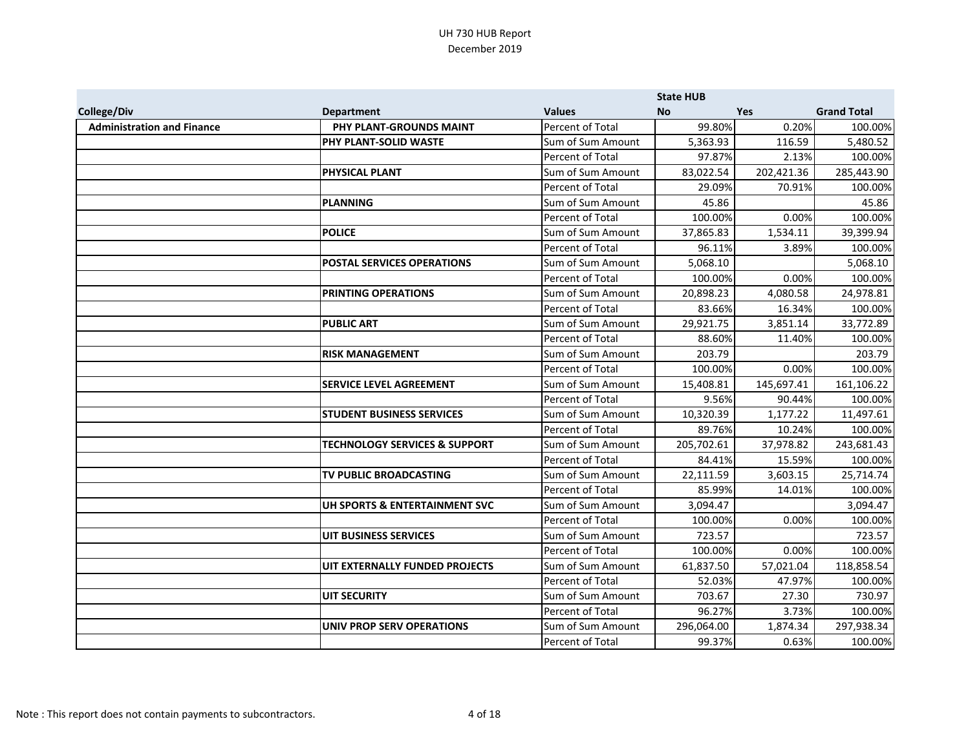|                                   |                                          |                         | <b>State HUB</b> |            |                    |
|-----------------------------------|------------------------------------------|-------------------------|------------------|------------|--------------------|
| College/Div                       | <b>Department</b>                        | <b>Values</b>           | <b>No</b>        | <b>Yes</b> | <b>Grand Total</b> |
| <b>Administration and Finance</b> | PHY PLANT-GROUNDS MAINT                  | Percent of Total        | 99.80%           | 0.20%      | 100.00%            |
|                                   | PHY PLANT-SOLID WASTE                    | Sum of Sum Amount       | 5,363.93         | 116.59     | 5,480.52           |
|                                   |                                          | <b>Percent of Total</b> | 97.87%           | 2.13%      | 100.00%            |
|                                   | <b>PHYSICAL PLANT</b>                    | Sum of Sum Amount       | 83,022.54        | 202,421.36 | 285,443.90         |
|                                   |                                          | Percent of Total        | 29.09%           | 70.91%     | 100.00%            |
|                                   | <b>PLANNING</b>                          | Sum of Sum Amount       | 45.86            |            | 45.86              |
|                                   |                                          | <b>Percent of Total</b> | 100.00%          | 0.00%      | 100.00%            |
|                                   | <b>POLICE</b>                            | Sum of Sum Amount       | 37,865.83        | 1,534.11   | 39,399.94          |
|                                   |                                          | <b>Percent of Total</b> | 96.11%           | 3.89%      | 100.00%            |
|                                   | POSTAL SERVICES OPERATIONS               | Sum of Sum Amount       | 5,068.10         |            | 5,068.10           |
|                                   |                                          | Percent of Total        | 100.00%          | 0.00%      | 100.00%            |
|                                   | <b>PRINTING OPERATIONS</b>               | Sum of Sum Amount       | 20,898.23        | 4,080.58   | 24,978.81          |
|                                   |                                          | Percent of Total        | 83.66%           | 16.34%     | 100.00%            |
|                                   | <b>PUBLIC ART</b>                        | Sum of Sum Amount       | 29,921.75        | 3,851.14   | 33,772.89          |
|                                   |                                          | <b>Percent of Total</b> | 88.60%           | 11.40%     | 100.00%            |
|                                   | <b>RISK MANAGEMENT</b>                   | Sum of Sum Amount       | 203.79           |            | 203.79             |
|                                   |                                          | Percent of Total        | 100.00%          | 0.00%      | 100.00%            |
|                                   | <b>SERVICE LEVEL AGREEMENT</b>           | Sum of Sum Amount       | 15,408.81        | 145,697.41 | 161,106.22         |
|                                   |                                          | Percent of Total        | 9.56%            | 90.44%     | 100.00%            |
|                                   | <b>STUDENT BUSINESS SERVICES</b>         | Sum of Sum Amount       | 10,320.39        | 1,177.22   | 11,497.61          |
|                                   |                                          | Percent of Total        | 89.76%           | 10.24%     | 100.00%            |
|                                   | <b>TECHNOLOGY SERVICES &amp; SUPPORT</b> | Sum of Sum Amount       | 205,702.61       | 37,978.82  | 243,681.43         |
|                                   |                                          | Percent of Total        | 84.41%           | 15.59%     | 100.00%            |
|                                   | <b>TV PUBLIC BROADCASTING</b>            | Sum of Sum Amount       | 22.111.59        | 3,603.15   | 25,714.74          |
|                                   |                                          | Percent of Total        | 85.99%           | 14.01%     | 100.00%            |
|                                   | UH SPORTS & ENTERTAINMENT SVC            | Sum of Sum Amount       | 3,094.47         |            | 3,094.47           |
|                                   |                                          | Percent of Total        | 100.00%          | 0.00%      | 100.00%            |
|                                   | UIT BUSINESS SERVICES                    | Sum of Sum Amount       | 723.57           |            | 723.57             |
|                                   |                                          | Percent of Total        | 100.00%          | 0.00%      | 100.00%            |
|                                   | UIT EXTERNALLY FUNDED PROJECTS           | Sum of Sum Amount       | 61,837.50        | 57,021.04  | 118,858.54         |
|                                   |                                          | Percent of Total        | 52.03%           | 47.97%     | 100.00%            |
|                                   | <b>UIT SECURITY</b>                      | Sum of Sum Amount       | 703.67           | 27.30      | 730.97             |
|                                   |                                          | Percent of Total        | 96.27%           | 3.73%      | 100.00%            |
|                                   | <b>UNIV PROP SERV OPERATIONS</b>         | Sum of Sum Amount       | 296,064.00       | 1,874.34   | 297,938.34         |
|                                   |                                          | Percent of Total        | 99.37%           | 0.63%      | 100.00%            |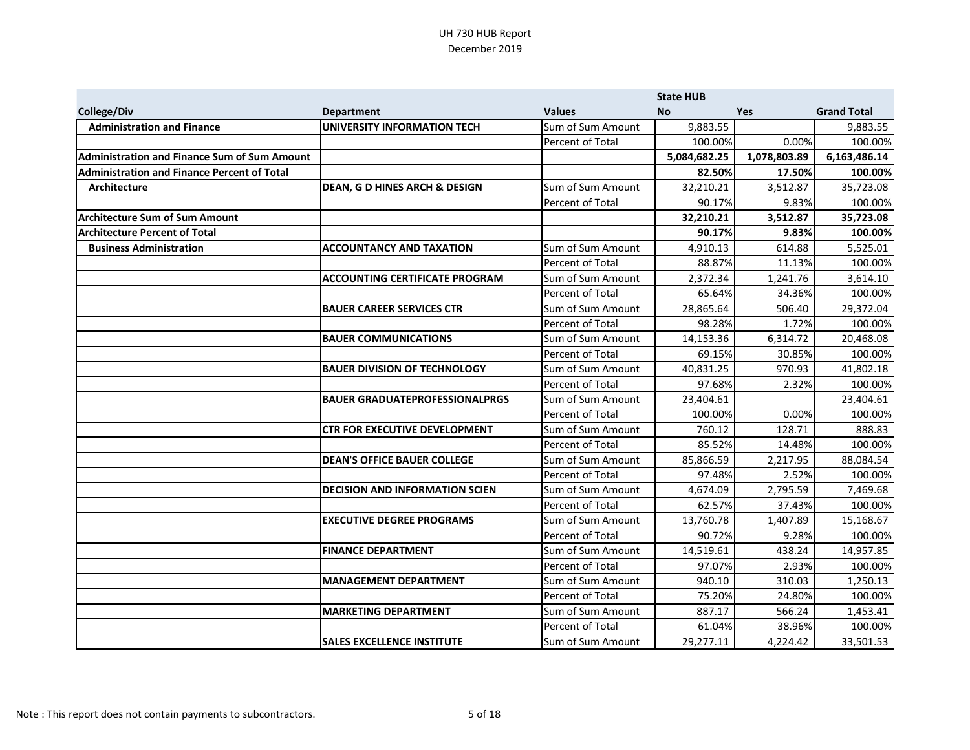|                                                     |                                       |                         | <b>State HUB</b> |              |                    |
|-----------------------------------------------------|---------------------------------------|-------------------------|------------------|--------------|--------------------|
| <b>College/Div</b>                                  | <b>Department</b>                     | <b>Values</b>           | No               | <b>Yes</b>   | <b>Grand Total</b> |
| <b>Administration and Finance</b>                   | <b>UNIVERSITY INFORMATION TECH</b>    | Sum of Sum Amount       | 9,883.55         |              | 9,883.55           |
|                                                     |                                       | Percent of Total        | 100.00%          | 0.00%        | 100.00%            |
| <b>Administration and Finance Sum of Sum Amount</b> |                                       |                         | 5,084,682.25     | 1,078,803.89 | 6,163,486.14       |
| <b>Administration and Finance Percent of Total</b>  |                                       |                         | 82.50%           | 17.50%       | 100.00%            |
| <b>Architecture</b>                                 | DEAN, G D HINES ARCH & DESIGN         | Sum of Sum Amount       | 32,210.21        | 3,512.87     | 35,723.08          |
|                                                     |                                       | Percent of Total        | 90.17%           | 9.83%        | 100.00%            |
| Architecture Sum of Sum Amount                      |                                       |                         | 32,210.21        | 3,512.87     | 35,723.08          |
| <b>Architecture Percent of Total</b>                |                                       |                         | 90.17%           | 9.83%        | 100.00%            |
| <b>Business Administration</b>                      | <b>ACCOUNTANCY AND TAXATION</b>       | Sum of Sum Amount       | 4,910.13         | 614.88       | 5,525.01           |
|                                                     |                                       | <b>Percent of Total</b> | 88.87%           | 11.13%       | 100.00%            |
|                                                     | <b>ACCOUNTING CERTIFICATE PROGRAM</b> | Sum of Sum Amount       | 2,372.34         | 1,241.76     | 3,614.10           |
|                                                     |                                       | Percent of Total        | 65.64%           | 34.36%       | 100.00%            |
|                                                     | <b>BAUER CAREER SERVICES CTR</b>      | Sum of Sum Amount       | 28,865.64        | 506.40       | 29,372.04          |
|                                                     |                                       | Percent of Total        | 98.28%           | 1.72%        | 100.00%            |
|                                                     | <b>BAUER COMMUNICATIONS</b>           | Sum of Sum Amount       | 14,153.36        | 6,314.72     | 20,468.08          |
|                                                     |                                       | <b>Percent of Total</b> | 69.15%           | 30.85%       | 100.00%            |
|                                                     | <b>BAUER DIVISION OF TECHNOLOGY</b>   | Sum of Sum Amount       | 40,831.25        | 970.93       | 41,802.18          |
|                                                     |                                       | Percent of Total        | 97.68%           | 2.32%        | 100.00%            |
|                                                     | <b>BAUER GRADUATEPROFESSIONALPRGS</b> | Sum of Sum Amount       | 23,404.61        |              | 23,404.61          |
|                                                     |                                       | Percent of Total        | 100.00%          | 0.00%        | 100.00%            |
|                                                     | <b>CTR FOR EXECUTIVE DEVELOPMENT</b>  | Sum of Sum Amount       | 760.12           | 128.71       | 888.83             |
|                                                     |                                       | Percent of Total        | 85.52%           | 14.48%       | 100.00%            |
|                                                     | <b>DEAN'S OFFICE BAUER COLLEGE</b>    | Sum of Sum Amount       | 85,866.59        | 2,217.95     | 88,084.54          |
|                                                     |                                       | Percent of Total        | 97.48%           | 2.52%        | 100.00%            |
|                                                     | <b>DECISION AND INFORMATION SCIEN</b> | Sum of Sum Amount       | 4,674.09         | 2,795.59     | 7,469.68           |
|                                                     |                                       | Percent of Total        | 62.57%           | 37.43%       | 100.00%            |
|                                                     | <b>EXECUTIVE DEGREE PROGRAMS</b>      | Sum of Sum Amount       | 13,760.78        | 1,407.89     | 15,168.67          |
|                                                     |                                       | Percent of Total        | 90.72%           | 9.28%        | 100.00%            |
|                                                     | <b>FINANCE DEPARTMENT</b>             | Sum of Sum Amount       | 14,519.61        | 438.24       | 14,957.85          |
|                                                     |                                       | Percent of Total        | 97.07%           | 2.93%        | 100.00%            |
|                                                     | <b>MANAGEMENT DEPARTMENT</b>          | Sum of Sum Amount       | 940.10           | 310.03       | 1,250.13           |
|                                                     |                                       | Percent of Total        | 75.20%           | 24.80%       | 100.00%            |
|                                                     | <b>MARKETING DEPARTMENT</b>           | Sum of Sum Amount       | 887.17           | 566.24       | 1,453.41           |
|                                                     |                                       | Percent of Total        | 61.04%           | 38.96%       | 100.00%            |
|                                                     | <b>SALES EXCELLENCE INSTITUTE</b>     | Sum of Sum Amount       | 29,277.11        | 4,224.42     | 33,501.53          |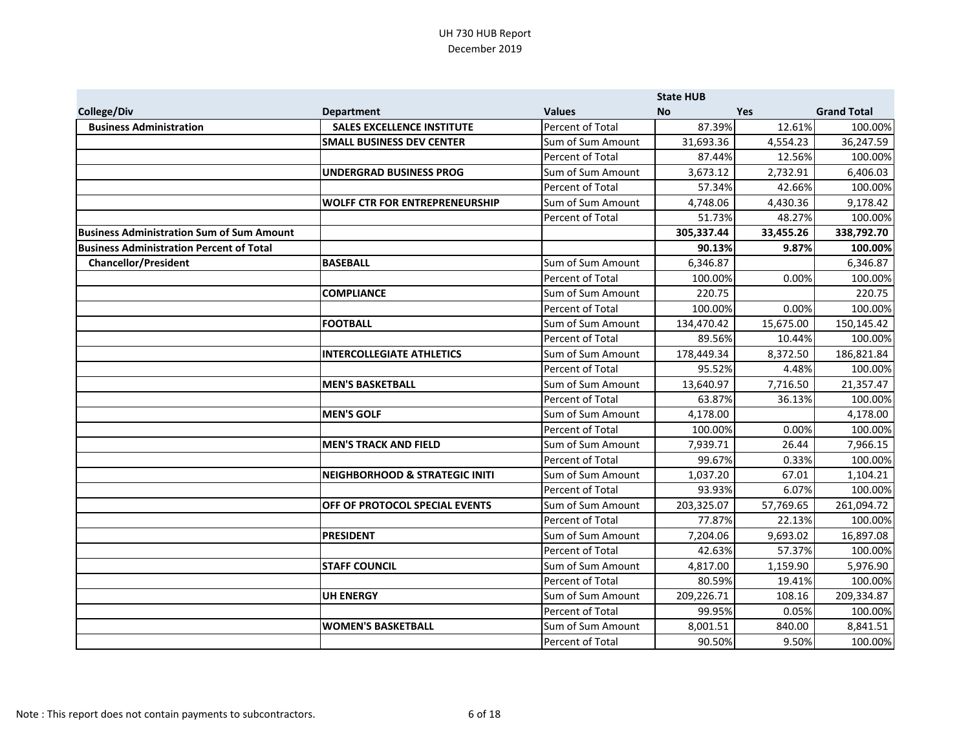|                                                  |                                           |                         | <b>State HUB</b> |            |                    |
|--------------------------------------------------|-------------------------------------------|-------------------------|------------------|------------|--------------------|
| College/Div                                      | <b>Department</b>                         | <b>Values</b>           | <b>No</b>        | <b>Yes</b> | <b>Grand Total</b> |
| <b>Business Administration</b>                   | <b>SALES EXCELLENCE INSTITUTE</b>         | Percent of Total        | 87.39%           | 12.61%     | 100.00%            |
|                                                  | <b>SMALL BUSINESS DEV CENTER</b>          | Sum of Sum Amount       | 31,693.36        | 4,554.23   | 36,247.59          |
|                                                  |                                           | <b>Percent of Total</b> | 87.44%           | 12.56%     | 100.00%            |
|                                                  | <b>UNDERGRAD BUSINESS PROG</b>            | Sum of Sum Amount       | 3,673.12         | 2,732.91   | 6,406.03           |
|                                                  |                                           | Percent of Total        | 57.34%           | 42.66%     | 100.00%            |
|                                                  | <b>WOLFF CTR FOR ENTREPRENEURSHIP</b>     | Sum of Sum Amount       | 4,748.06         | 4,430.36   | 9,178.42           |
|                                                  |                                           | Percent of Total        | 51.73%           | 48.27%     | 100.00%            |
| <b>Business Administration Sum of Sum Amount</b> |                                           |                         | 305,337.44       | 33,455.26  | 338,792.70         |
| <b>Business Administration Percent of Total</b>  |                                           |                         | 90.13%           | 9.87%      | 100.00%            |
| <b>Chancellor/President</b>                      | <b>BASEBALL</b>                           | Sum of Sum Amount       | 6,346.87         |            | 6,346.87           |
|                                                  |                                           | Percent of Total        | 100.00%          | 0.00%      | 100.00%            |
|                                                  | <b>COMPLIANCE</b>                         | Sum of Sum Amount       | 220.75           |            | 220.75             |
|                                                  |                                           | <b>Percent of Total</b> | 100.00%          | 0.00%      | 100.00%            |
|                                                  | <b>FOOTBALL</b>                           | Sum of Sum Amount       | 134,470.42       | 15,675.00  | 150,145.42         |
|                                                  |                                           | Percent of Total        | 89.56%           | 10.44%     | 100.00%            |
|                                                  | <b>INTERCOLLEGIATE ATHLETICS</b>          | Sum of Sum Amount       | 178,449.34       | 8,372.50   | 186,821.84         |
|                                                  |                                           | Percent of Total        | 95.52%           | 4.48%      | 100.00%            |
|                                                  | <b>MEN'S BASKETBALL</b>                   | Sum of Sum Amount       | 13,640.97        | 7,716.50   | 21,357.47          |
|                                                  |                                           | Percent of Total        | 63.87%           | 36.13%     | 100.00%            |
|                                                  | <b>MEN'S GOLF</b>                         | Sum of Sum Amount       | 4,178.00         |            | 4,178.00           |
|                                                  |                                           | Percent of Total        | 100.00%          | 0.00%      | 100.00%            |
|                                                  | <b>MEN'S TRACK AND FIELD</b>              | Sum of Sum Amount       | 7,939.71         | 26.44      | 7,966.15           |
|                                                  |                                           | Percent of Total        | 99.67%           | 0.33%      | 100.00%            |
|                                                  | <b>NEIGHBORHOOD &amp; STRATEGIC INITI</b> | Sum of Sum Amount       | 1,037.20         | 67.01      | 1,104.21           |
|                                                  |                                           | Percent of Total        | 93.93%           | 6.07%      | 100.00%            |
|                                                  | OFF OF PROTOCOL SPECIAL EVENTS            | Sum of Sum Amount       | 203,325.07       | 57,769.65  | 261,094.72         |
|                                                  |                                           | Percent of Total        | 77.87%           | 22.13%     | 100.00%            |
|                                                  | <b>PRESIDENT</b>                          | Sum of Sum Amount       | 7,204.06         | 9,693.02   | 16,897.08          |
|                                                  |                                           | Percent of Total        | 42.63%           | 57.37%     | 100.00%            |
|                                                  | <b>STAFF COUNCIL</b>                      | Sum of Sum Amount       | 4,817.00         | 1,159.90   | 5,976.90           |
|                                                  |                                           | <b>Percent of Total</b> | 80.59%           | 19.41%     | 100.00%            |
|                                                  | <b>UH ENERGY</b>                          | Sum of Sum Amount       | 209,226.71       | 108.16     | 209,334.87         |
|                                                  |                                           | Percent of Total        | 99.95%           | 0.05%      | 100.00%            |
|                                                  | <b>WOMEN'S BASKETBALL</b>                 | Sum of Sum Amount       | 8,001.51         | 840.00     | 8,841.51           |
|                                                  |                                           | <b>Percent of Total</b> | 90.50%           | 9.50%      | 100.00%            |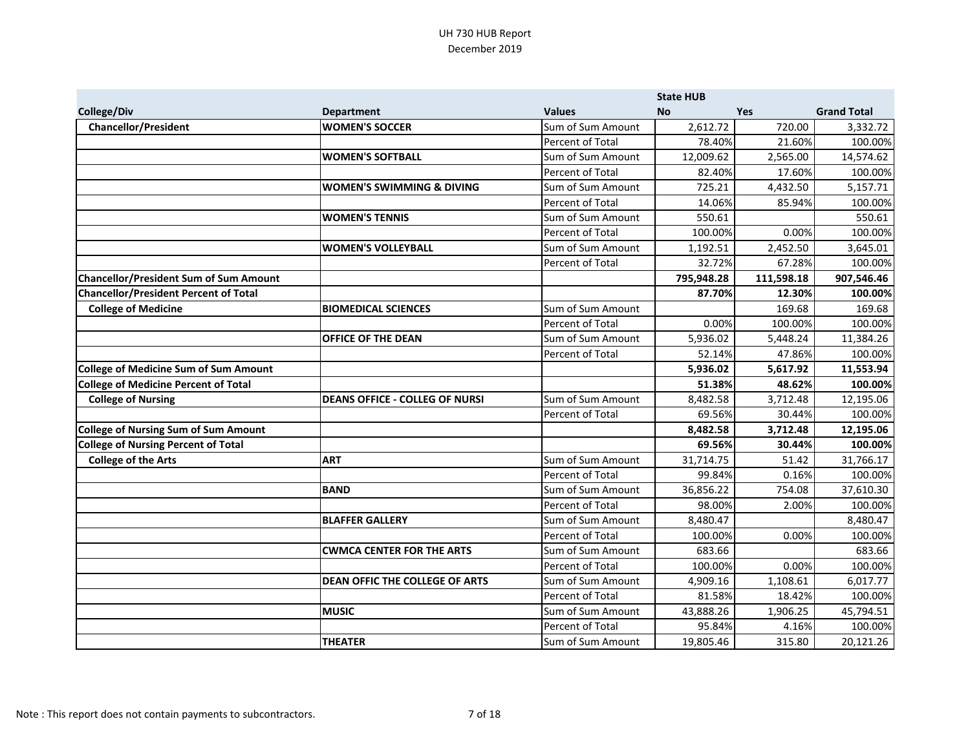|                                               |                                       |                         | <b>State HUB</b> |            |                    |
|-----------------------------------------------|---------------------------------------|-------------------------|------------------|------------|--------------------|
| College/Div                                   | <b>Department</b>                     | <b>Values</b>           | <b>No</b>        | <b>Yes</b> | <b>Grand Total</b> |
| <b>Chancellor/President</b>                   | <b>WOMEN'S SOCCER</b>                 | Sum of Sum Amount       | 2,612.72         | 720.00     | 3,332.72           |
|                                               |                                       | <b>Percent of Total</b> | 78.40%           | 21.60%     | 100.00%            |
|                                               | <b>WOMEN'S SOFTBALL</b>               | Sum of Sum Amount       | 12,009.62        | 2,565.00   | 14,574.62          |
|                                               |                                       | Percent of Total        | 82.40%           | 17.60%     | 100.00%            |
|                                               | <b>WOMEN'S SWIMMING &amp; DIVING</b>  | Sum of Sum Amount       | 725.21           | 4,432.50   | 5,157.71           |
|                                               |                                       | Percent of Total        | 14.06%           | 85.94%     | 100.00%            |
|                                               | <b>WOMEN'S TENNIS</b>                 | Sum of Sum Amount       | 550.61           |            | 550.61             |
|                                               |                                       | Percent of Total        | 100.00%          | 0.00%      | 100.00%            |
|                                               | <b>WOMEN'S VOLLEYBALL</b>             | Sum of Sum Amount       | 1,192.51         | 2,452.50   | 3,645.01           |
|                                               |                                       | Percent of Total        | 32.72%           | 67.28%     | 100.00%            |
| <b>Chancellor/President Sum of Sum Amount</b> |                                       |                         | 795,948.28       | 111,598.18 | 907,546.46         |
| <b>Chancellor/President Percent of Total</b>  |                                       |                         | 87.70%           | 12.30%     | 100.00%            |
| <b>College of Medicine</b>                    | <b>BIOMEDICAL SCIENCES</b>            | Sum of Sum Amount       |                  | 169.68     | 169.68             |
|                                               |                                       | Percent of Total        | 0.00%            | 100.00%    | 100.00%            |
|                                               | <b>OFFICE OF THE DEAN</b>             | Sum of Sum Amount       | 5,936.02         | 5,448.24   | 11,384.26          |
|                                               |                                       | Percent of Total        | 52.14%           | 47.86%     | 100.00%            |
| <b>College of Medicine Sum of Sum Amount</b>  |                                       |                         | 5,936.02         | 5,617.92   | 11,553.94          |
| <b>College of Medicine Percent of Total</b>   |                                       |                         | 51.38%           | 48.62%     | 100.00%            |
| <b>College of Nursing</b>                     | <b>DEANS OFFICE - COLLEG OF NURSI</b> | Sum of Sum Amount       | 8,482.58         | 3,712.48   | 12,195.06          |
|                                               |                                       | Percent of Total        | 69.56%           | 30.44%     | 100.00%            |
| <b>College of Nursing Sum of Sum Amount</b>   |                                       |                         | 8,482.58         | 3,712.48   | 12,195.06          |
| <b>College of Nursing Percent of Total</b>    |                                       |                         | 69.56%           | 30.44%     | 100.00%            |
| <b>College of the Arts</b>                    | <b>ART</b>                            | Sum of Sum Amount       | 31,714.75        | 51.42      | 31,766.17          |
|                                               |                                       | Percent of Total        | 99.84%           | 0.16%      | 100.00%            |
|                                               | <b>BAND</b>                           | Sum of Sum Amount       | 36,856.22        | 754.08     | 37,610.30          |
|                                               |                                       | Percent of Total        | 98.00%           | 2.00%      | 100.00%            |
|                                               | <b>BLAFFER GALLERY</b>                | Sum of Sum Amount       | 8,480.47         |            | 8,480.47           |
|                                               |                                       | Percent of Total        | 100.00%          | 0.00%      | 100.00%            |
|                                               | <b>CWMCA CENTER FOR THE ARTS</b>      | Sum of Sum Amount       | 683.66           |            | 683.66             |
|                                               |                                       | Percent of Total        | 100.00%          | 0.00%      | 100.00%            |
|                                               | DEAN OFFIC THE COLLEGE OF ARTS        | Sum of Sum Amount       | 4,909.16         | 1,108.61   | 6,017.77           |
|                                               |                                       | Percent of Total        | 81.58%           | 18.42%     | 100.00%            |
|                                               | <b>MUSIC</b>                          | Sum of Sum Amount       | 43,888.26        | 1,906.25   | 45,794.51          |
|                                               |                                       | Percent of Total        | 95.84%           | 4.16%      | 100.00%            |
|                                               | <b>THEATER</b>                        | Sum of Sum Amount       | 19,805.46        | 315.80     | 20,121.26          |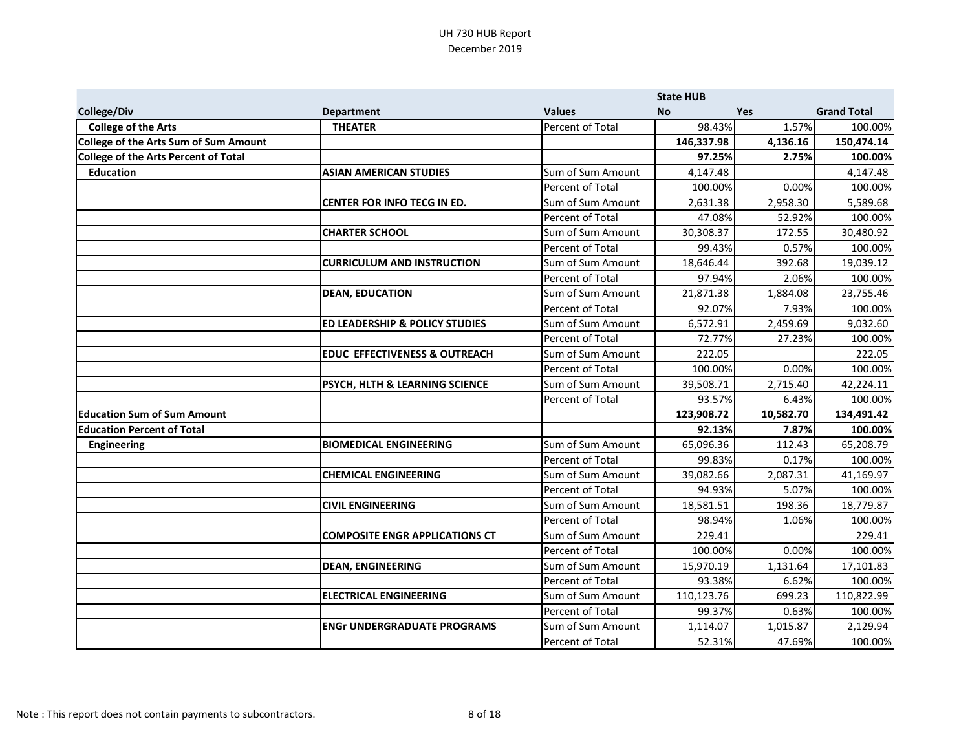|                                             |                                           |                         | <b>State HUB</b> |            |                    |
|---------------------------------------------|-------------------------------------------|-------------------------|------------------|------------|--------------------|
| <b>College/Div</b>                          | <b>Department</b>                         | <b>Values</b>           | <b>No</b>        | <b>Yes</b> | <b>Grand Total</b> |
| <b>College of the Arts</b>                  | <b>THEATER</b>                            | Percent of Total        | 98.43%           | 1.57%      | 100.00%            |
| College of the Arts Sum of Sum Amount       |                                           |                         | 146,337.98       | 4,136.16   | 150,474.14         |
| <b>College of the Arts Percent of Total</b> |                                           |                         | 97.25%           | 2.75%      | 100.00%            |
| <b>Education</b>                            | <b>ASIAN AMERICAN STUDIES</b>             | Sum of Sum Amount       | 4,147.48         |            | 4,147.48           |
|                                             |                                           | Percent of Total        | 100.00%          | 0.00%      | 100.00%            |
|                                             | CENTER FOR INFO TECG IN ED.               | Sum of Sum Amount       | 2,631.38         | 2,958.30   | 5,589.68           |
|                                             |                                           | Percent of Total        | 47.08%           | 52.92%     | 100.00%            |
|                                             | <b>CHARTER SCHOOL</b>                     | Sum of Sum Amount       | 30,308.37        | 172.55     | 30,480.92          |
|                                             |                                           | <b>Percent of Total</b> | 99.43%           | 0.57%      | 100.00%            |
|                                             | <b>CURRICULUM AND INSTRUCTION</b>         | Sum of Sum Amount       | 18,646.44        | 392.68     | 19,039.12          |
|                                             |                                           | Percent of Total        | 97.94%           | 2.06%      | 100.00%            |
|                                             | <b>DEAN, EDUCATION</b>                    | Sum of Sum Amount       | 21,871.38        | 1,884.08   | 23,755.46          |
|                                             |                                           | Percent of Total        | 92.07%           | 7.93%      | 100.00%            |
|                                             | <b>ED LEADERSHIP &amp; POLICY STUDIES</b> | Sum of Sum Amount       | 6,572.91         | 2,459.69   | 9,032.60           |
|                                             |                                           | Percent of Total        | 72.77%           | 27.23%     | 100.00%            |
|                                             | <b>EDUC EFFECTIVENESS &amp; OUTREACH</b>  | Sum of Sum Amount       | 222.05           |            | 222.05             |
|                                             |                                           | Percent of Total        | 100.00%          | 0.00%      | 100.00%            |
|                                             | PSYCH, HLTH & LEARNING SCIENCE            | Sum of Sum Amount       | 39,508.71        | 2,715.40   | 42,224.11          |
|                                             |                                           | Percent of Total        | 93.57%           | 6.43%      | 100.00%            |
| <b>Education Sum of Sum Amount</b>          |                                           |                         | 123,908.72       | 10,582.70  | 134,491.42         |
| <b>Education Percent of Total</b>           |                                           |                         | 92.13%           | 7.87%      | 100.00%            |
| <b>Engineering</b>                          | <b>BIOMEDICAL ENGINEERING</b>             | Sum of Sum Amount       | 65,096.36        | 112.43     | 65,208.79          |
|                                             |                                           | Percent of Total        | 99.83%           | 0.17%      | 100.00%            |
|                                             | <b>CHEMICAL ENGINEERING</b>               | Sum of Sum Amount       | 39,082.66        | 2,087.31   | 41,169.97          |
|                                             |                                           | Percent of Total        | 94.93%           | 5.07%      | 100.00%            |
|                                             | <b>CIVIL ENGINEERING</b>                  | Sum of Sum Amount       | 18,581.51        | 198.36     | 18,779.87          |
|                                             |                                           | Percent of Total        | 98.94%           | 1.06%      | 100.00%            |
|                                             | <b>COMPOSITE ENGR APPLICATIONS CT</b>     | Sum of Sum Amount       | 229.41           |            | 229.41             |
|                                             |                                           | Percent of Total        | 100.00%          | 0.00%      | 100.00%            |
|                                             | <b>DEAN, ENGINEERING</b>                  | Sum of Sum Amount       | 15,970.19        | 1,131.64   | 17,101.83          |
|                                             |                                           | Percent of Total        | 93.38%           | 6.62%      | 100.00%            |
|                                             | <b>ELECTRICAL ENGINEERING</b>             | Sum of Sum Amount       | 110,123.76       | 699.23     | 110,822.99         |
|                                             |                                           | Percent of Total        | 99.37%           | 0.63%      | 100.00%            |
|                                             | <b>ENGr UNDERGRADUATE PROGRAMS</b>        | Sum of Sum Amount       | 1,114.07         | 1,015.87   | 2,129.94           |
|                                             |                                           | Percent of Total        | 52.31%           | 47.69%     | 100.00%            |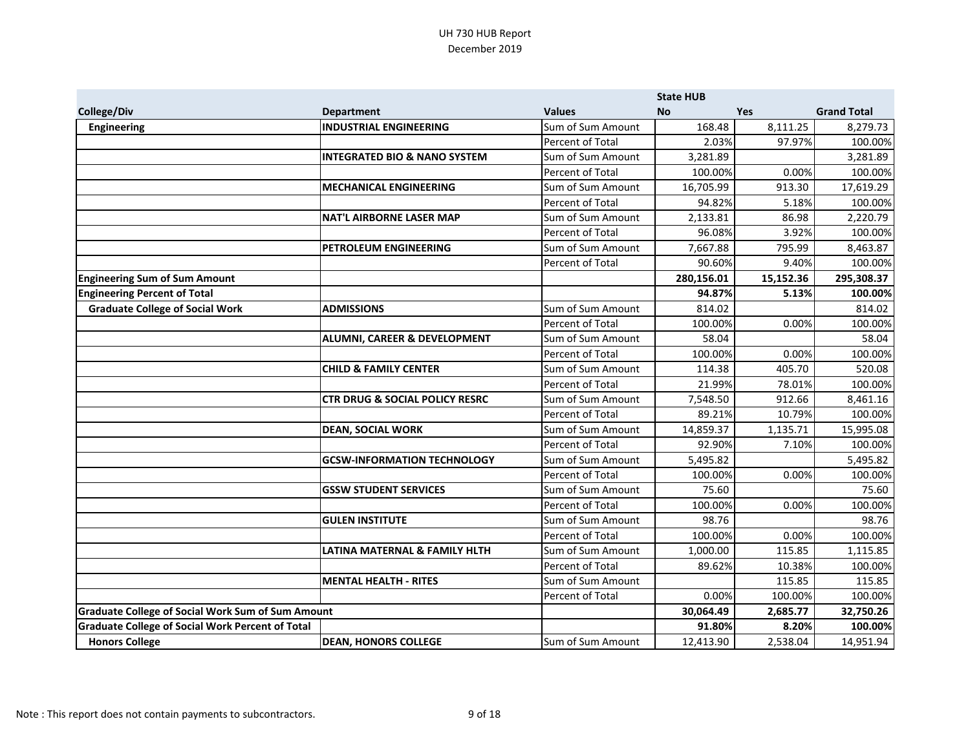|                                                          |                                           |                         | <b>State HUB</b> |            |                    |
|----------------------------------------------------------|-------------------------------------------|-------------------------|------------------|------------|--------------------|
| College/Div                                              | <b>Department</b>                         | <b>Values</b>           | <b>No</b>        | <b>Yes</b> | <b>Grand Total</b> |
| <b>Engineering</b>                                       | <b>INDUSTRIAL ENGINEERING</b>             | Sum of Sum Amount       | 168.48           | 8,111.25   | 8,279.73           |
|                                                          |                                           | <b>Percent of Total</b> | 2.03%            | 97.97%     | 100.00%            |
|                                                          | <b>INTEGRATED BIO &amp; NANO SYSTEM</b>   | Sum of Sum Amount       | 3,281.89         |            | 3,281.89           |
|                                                          |                                           | Percent of Total        | 100.00%          | 0.00%      | 100.00%            |
|                                                          | <b>MECHANICAL ENGINEERING</b>             | Sum of Sum Amount       | 16,705.99        | 913.30     | 17,619.29          |
|                                                          |                                           | Percent of Total        | 94.82%           | 5.18%      | 100.00%            |
|                                                          | <b>NAT'L AIRBORNE LASER MAP</b>           | Sum of Sum Amount       | 2,133.81         | 86.98      | 2,220.79           |
|                                                          |                                           | Percent of Total        | 96.08%           | 3.92%      | 100.00%            |
|                                                          | PETROLEUM ENGINEERING                     | Sum of Sum Amount       | 7,667.88         | 795.99     | 8,463.87           |
|                                                          |                                           | <b>Percent of Total</b> | 90.60%           | 9.40%      | 100.00%            |
| <b>Engineering Sum of Sum Amount</b>                     |                                           |                         | 280,156.01       | 15,152.36  | 295,308.37         |
| <b>Engineering Percent of Total</b>                      |                                           |                         | 94.87%           | 5.13%      | 100.00%            |
| <b>Graduate College of Social Work</b>                   | <b>ADMISSIONS</b>                         | Sum of Sum Amount       | 814.02           |            | 814.02             |
|                                                          |                                           | Percent of Total        | 100.00%          | 0.00%      | 100.00%            |
|                                                          | ALUMNI, CAREER & DEVELOPMENT              | Sum of Sum Amount       | 58.04            |            | 58.04              |
|                                                          |                                           | Percent of Total        | 100.00%          | 0.00%      | 100.00%            |
|                                                          | <b>CHILD &amp; FAMILY CENTER</b>          | Sum of Sum Amount       | 114.38           | 405.70     | 520.08             |
|                                                          |                                           | Percent of Total        | 21.99%           | 78.01%     | 100.00%            |
|                                                          | <b>CTR DRUG &amp; SOCIAL POLICY RESRC</b> | Sum of Sum Amount       | 7,548.50         | 912.66     | 8,461.16           |
|                                                          |                                           | Percent of Total        | 89.21%           | 10.79%     | 100.00%            |
|                                                          | <b>DEAN, SOCIAL WORK</b>                  | Sum of Sum Amount       | 14,859.37        | 1,135.71   | 15,995.08          |
|                                                          |                                           | Percent of Total        | 92.90%           | 7.10%      | 100.00%            |
|                                                          | <b>GCSW-INFORMATION TECHNOLOGY</b>        | Sum of Sum Amount       | 5,495.82         |            | 5,495.82           |
|                                                          |                                           | Percent of Total        | 100.00%          | 0.00%      | 100.00%            |
|                                                          | <b>GSSW STUDENT SERVICES</b>              | Sum of Sum Amount       | 75.60            |            | 75.60              |
|                                                          |                                           | Percent of Total        | 100.00%          | 0.00%      | 100.00%            |
|                                                          | <b>GULEN INSTITUTE</b>                    | Sum of Sum Amount       | 98.76            |            | 98.76              |
|                                                          |                                           | Percent of Total        | 100.00%          | 0.00%      | 100.00%            |
|                                                          | LATINA MATERNAL & FAMILY HLTH             | Sum of Sum Amount       | 1,000.00         | 115.85     | 1,115.85           |
|                                                          |                                           | Percent of Total        | 89.62%           | 10.38%     | 100.00%            |
|                                                          | <b>MENTAL HEALTH - RITES</b>              | Sum of Sum Amount       |                  | 115.85     | 115.85             |
|                                                          |                                           | Percent of Total        | 0.00%            | 100.00%    | 100.00%            |
| <b>Graduate College of Social Work Sum of Sum Amount</b> |                                           |                         | 30,064.49        | 2,685.77   | 32,750.26          |
| <b>Graduate College of Social Work Percent of Total</b>  |                                           |                         | 91.80%           | 8.20%      | 100.00%            |
| <b>Honors College</b>                                    | <b>DEAN, HONORS COLLEGE</b>               | Sum of Sum Amount       | 12,413.90        | 2,538.04   | 14,951.94          |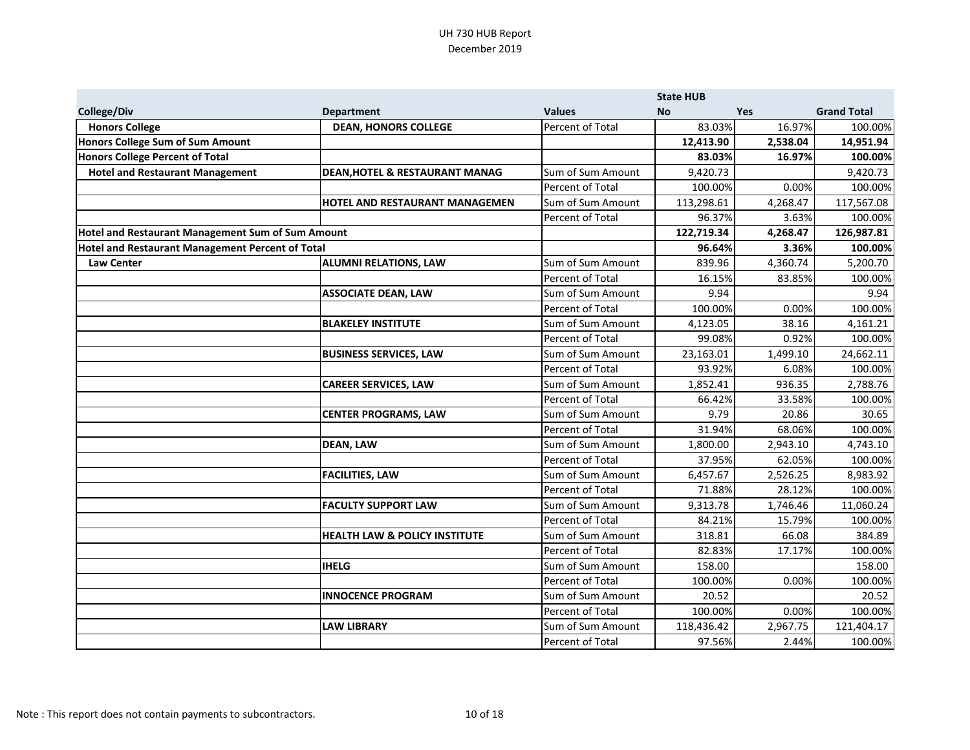|                                                   |                                           |                   | <b>State HUB</b> |            |                    |
|---------------------------------------------------|-------------------------------------------|-------------------|------------------|------------|--------------------|
| College/Div                                       | <b>Department</b>                         | <b>Values</b>     | <b>No</b>        | <b>Yes</b> | <b>Grand Total</b> |
| <b>Honors College</b>                             | <b>DEAN, HONORS COLLEGE</b>               | Percent of Total  | 83.03%           | 16.97%     | 100.00%            |
| <b>Honors College Sum of Sum Amount</b>           |                                           |                   | 12,413.90        | 2,538.04   | 14,951.94          |
| <b>Honors College Percent of Total</b>            |                                           |                   | 83.03%           | 16.97%     | 100.00%            |
| <b>Hotel and Restaurant Management</b>            | <b>DEAN, HOTEL &amp; RESTAURANT MANAG</b> | Sum of Sum Amount | 9,420.73         |            | 9,420.73           |
|                                                   |                                           | Percent of Total  | 100.00%          | 0.00%      | 100.00%            |
|                                                   | <b>HOTEL AND RESTAURANT MANAGEMEN</b>     | Sum of Sum Amount | 113,298.61       | 4,268.47   | 117,567.08         |
|                                                   |                                           | Percent of Total  | 96.37%           | 3.63%      | 100.00%            |
| Hotel and Restaurant Management Sum of Sum Amount |                                           |                   | 122,719.34       | 4,268.47   | 126,987.81         |
| Hotel and Restaurant Management Percent of Total  |                                           |                   | 96.64%           | 3.36%      | 100.00%            |
| <b>Law Center</b>                                 | <b>ALUMNI RELATIONS, LAW</b>              | Sum of Sum Amount | 839.96           | 4,360.74   | 5,200.70           |
|                                                   |                                           | Percent of Total  | 16.15%           | 83.85%     | 100.00%            |
|                                                   | <b>ASSOCIATE DEAN, LAW</b>                | Sum of Sum Amount | 9.94             |            | 9.94               |
|                                                   |                                           | Percent of Total  | 100.00%          | 0.00%      | 100.00%            |
|                                                   | <b>BLAKELEY INSTITUTE</b>                 | Sum of Sum Amount | 4,123.05         | 38.16      | 4,161.21           |
|                                                   |                                           | Percent of Total  | 99.08%           | 0.92%      | 100.00%            |
|                                                   | <b>BUSINESS SERVICES, LAW</b>             | Sum of Sum Amount | 23,163.01        | 1,499.10   | 24,662.11          |
|                                                   |                                           | Percent of Total  | 93.92%           | 6.08%      | 100.00%            |
|                                                   | <b>CAREER SERVICES, LAW</b>               | Sum of Sum Amount | 1,852.41         | 936.35     | 2,788.76           |
|                                                   |                                           | Percent of Total  | 66.42%           | 33.58%     | 100.00%            |
|                                                   | <b>CENTER PROGRAMS, LAW</b>               | Sum of Sum Amount | 9.79             | 20.86      | 30.65              |
|                                                   |                                           | Percent of Total  | 31.94%           | 68.06%     | 100.00%            |
|                                                   | <b>DEAN, LAW</b>                          | Sum of Sum Amount | 1,800.00         | 2,943.10   | 4,743.10           |
|                                                   |                                           | Percent of Total  | 37.95%           | 62.05%     | 100.00%            |
|                                                   | <b>FACILITIES, LAW</b>                    | Sum of Sum Amount | 6,457.67         | 2,526.25   | 8,983.92           |
|                                                   |                                           | Percent of Total  | 71.88%           | 28.12%     | 100.00%            |
|                                                   | <b>FACULTY SUPPORT LAW</b>                | Sum of Sum Amount | 9,313.78         | 1,746.46   | 11,060.24          |
|                                                   |                                           | Percent of Total  | 84.21%           | 15.79%     | 100.00%            |
|                                                   | <b>HEALTH LAW &amp; POLICY INSTITUTE</b>  | Sum of Sum Amount | 318.81           | 66.08      | 384.89             |
|                                                   |                                           | Percent of Total  | 82.83%           | 17.17%     | 100.00%            |
|                                                   | <b>IHELG</b>                              | Sum of Sum Amount | 158.00           |            | 158.00             |
|                                                   |                                           | Percent of Total  | 100.00%          | 0.00%      | 100.00%            |
|                                                   | <b>INNOCENCE PROGRAM</b>                  | Sum of Sum Amount | 20.52            |            | 20.52              |
|                                                   |                                           | Percent of Total  | 100.00%          | 0.00%      | 100.00%            |
|                                                   | <b>LAW LIBRARY</b>                        | Sum of Sum Amount | 118,436.42       | 2,967.75   | 121,404.17         |
|                                                   |                                           | Percent of Total  | 97.56%           | 2.44%      | 100.00%            |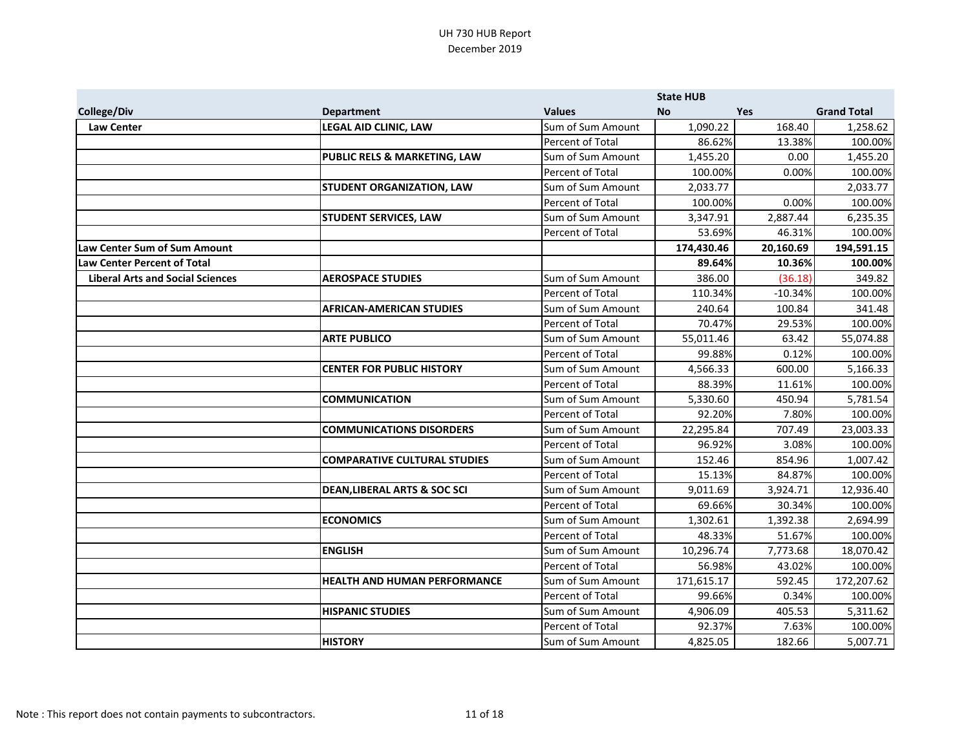|                                         |                                         |                   | <b>State HUB</b> |            |                    |
|-----------------------------------------|-----------------------------------------|-------------------|------------------|------------|--------------------|
| <b>College/Div</b>                      | <b>Department</b>                       | <b>Values</b>     | <b>No</b>        | <b>Yes</b> | <b>Grand Total</b> |
| <b>Law Center</b>                       | <b>LEGAL AID CLINIC, LAW</b>            | Sum of Sum Amount | 1,090.22         | 168.40     | 1,258.62           |
|                                         |                                         | Percent of Total  | 86.62%           | 13.38%     | 100.00%            |
|                                         | PUBLIC RELS & MARKETING, LAW            | Sum of Sum Amount | 1,455.20         | 0.00       | 1,455.20           |
|                                         |                                         | Percent of Total  | 100.00%          | 0.00%      | 100.00%            |
|                                         | <b>STUDENT ORGANIZATION, LAW</b>        | Sum of Sum Amount | 2,033.77         |            | 2,033.77           |
|                                         |                                         | Percent of Total  | 100.00%          | 0.00%      | 100.00%            |
|                                         | <b>STUDENT SERVICES, LAW</b>            | Sum of Sum Amount | 3,347.91         | 2,887.44   | 6,235.35           |
|                                         |                                         | Percent of Total  | 53.69%           | 46.31%     | 100.00%            |
| <b>Law Center Sum of Sum Amount</b>     |                                         |                   | 174,430.46       | 20,160.69  | 194,591.15         |
| <b>Law Center Percent of Total</b>      |                                         |                   | 89.64%           | 10.36%     | 100.00%            |
| <b>Liberal Arts and Social Sciences</b> | <b>AEROSPACE STUDIES</b>                | Sum of Sum Amount | 386.00           | (36.18)    | 349.82             |
|                                         |                                         | Percent of Total  | 110.34%          | $-10.34%$  | 100.00%            |
|                                         | <b>AFRICAN-AMERICAN STUDIES</b>         | Sum of Sum Amount | 240.64           | 100.84     | 341.48             |
|                                         |                                         | Percent of Total  | 70.47%           | 29.53%     | 100.00%            |
|                                         | <b>ARTE PUBLICO</b>                     | Sum of Sum Amount | 55.011.46        | 63.42      | 55,074.88          |
|                                         |                                         | Percent of Total  | 99.88%           | 0.12%      | 100.00%            |
|                                         | <b>CENTER FOR PUBLIC HISTORY</b>        | Sum of Sum Amount | 4,566.33         | 600.00     | 5,166.33           |
|                                         |                                         | Percent of Total  | 88.39%           | 11.61%     | 100.00%            |
|                                         | <b>COMMUNICATION</b>                    | Sum of Sum Amount | 5,330.60         | 450.94     | 5,781.54           |
|                                         |                                         | Percent of Total  | 92.20%           | 7.80%      | 100.00%            |
|                                         | <b>COMMUNICATIONS DISORDERS</b>         | Sum of Sum Amount | 22,295.84        | 707.49     | 23,003.33          |
|                                         |                                         | Percent of Total  | 96.92%           | 3.08%      | 100.00%            |
|                                         | <b>COMPARATIVE CULTURAL STUDIES</b>     | Sum of Sum Amount | 152.46           | 854.96     | 1,007.42           |
|                                         |                                         | Percent of Total  | 15.13%           | 84.87%     | 100.00%            |
|                                         | <b>DEAN, LIBERAL ARTS &amp; SOC SCI</b> | Sum of Sum Amount | 9,011.69         | 3,924.71   | 12,936.40          |
|                                         |                                         | Percent of Total  | 69.66%           | 30.34%     | 100.00%            |
|                                         | <b>ECONOMICS</b>                        | Sum of Sum Amount | 1,302.61         | 1,392.38   | 2,694.99           |
|                                         |                                         | Percent of Total  | 48.33%           | 51.67%     | 100.00%            |
|                                         | <b>ENGLISH</b>                          | Sum of Sum Amount | 10,296.74        | 7,773.68   | 18,070.42          |
|                                         |                                         | Percent of Total  | 56.98%           | 43.02%     | 100.00%            |
|                                         | <b>HEALTH AND HUMAN PERFORMANCE</b>     | Sum of Sum Amount | 171,615.17       | 592.45     | 172,207.62         |
|                                         |                                         | Percent of Total  | 99.66%           | 0.34%      | 100.00%            |
|                                         | <b>HISPANIC STUDIES</b>                 | Sum of Sum Amount | 4,906.09         | 405.53     | 5,311.62           |
|                                         |                                         | Percent of Total  | 92.37%           | 7.63%      | 100.00%            |
|                                         | <b>HISTORY</b>                          | Sum of Sum Amount | 4,825.05         | 182.66     | 5,007.71           |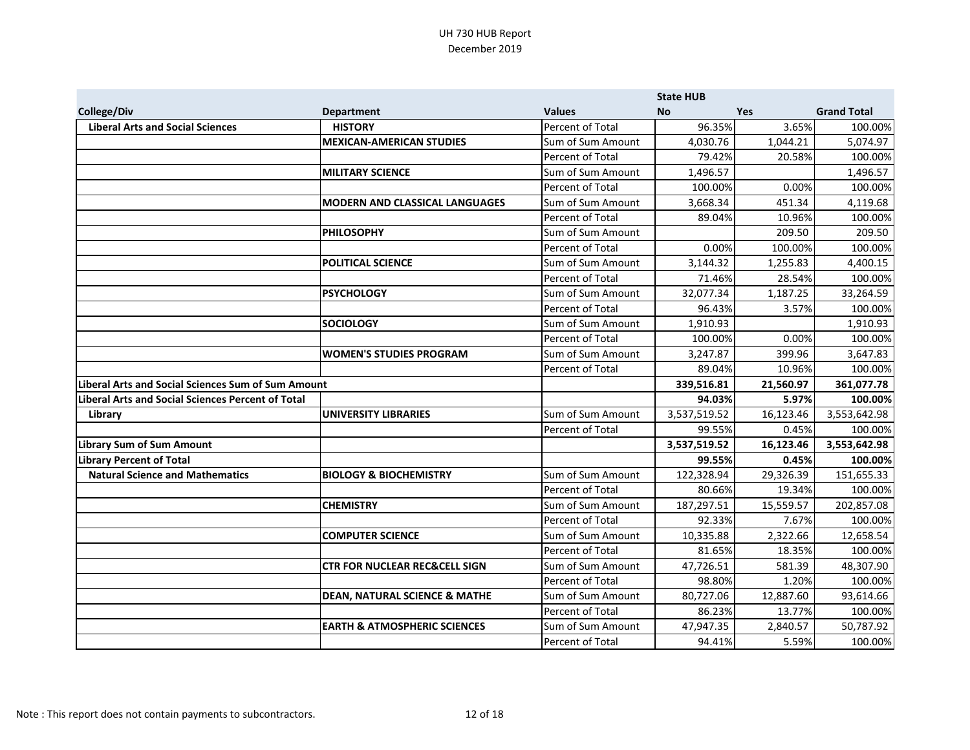|                                                           |                                          |                   | <b>State HUB</b> |            |                    |
|-----------------------------------------------------------|------------------------------------------|-------------------|------------------|------------|--------------------|
| College/Div                                               | <b>Department</b>                        | <b>Values</b>     | <b>No</b>        | <b>Yes</b> | <b>Grand Total</b> |
| <b>Liberal Arts and Social Sciences</b>                   | <b>HISTORY</b>                           | Percent of Total  | 96.35%           | 3.65%      | 100.00%            |
|                                                           | <b>MEXICAN-AMERICAN STUDIES</b>          | Sum of Sum Amount | 4,030.76         | 1,044.21   | 5,074.97           |
|                                                           |                                          | Percent of Total  | 79.42%           | 20.58%     | 100.00%            |
|                                                           | <b>MILITARY SCIENCE</b>                  | Sum of Sum Amount | 1,496.57         |            | 1,496.57           |
|                                                           |                                          | Percent of Total  | 100.00%          | 0.00%      | 100.00%            |
|                                                           | <b>MODERN AND CLASSICAL LANGUAGES</b>    | Sum of Sum Amount | 3,668.34         | 451.34     | 4,119.68           |
|                                                           |                                          | Percent of Total  | 89.04%           | 10.96%     | 100.00%            |
|                                                           | <b>PHILOSOPHY</b>                        | Sum of Sum Amount |                  | 209.50     | 209.50             |
|                                                           |                                          | Percent of Total  | 0.00%            | 100.00%    | 100.00%            |
|                                                           | <b>POLITICAL SCIENCE</b>                 | Sum of Sum Amount | 3,144.32         | 1,255.83   | 4,400.15           |
|                                                           |                                          | Percent of Total  | 71.46%           | 28.54%     | 100.00%            |
|                                                           | <b>PSYCHOLOGY</b>                        | Sum of Sum Amount | 32,077.34        | 1,187.25   | 33,264.59          |
|                                                           |                                          | Percent of Total  | 96.43%           | 3.57%      | 100.00%            |
|                                                           | <b>SOCIOLOGY</b>                         | Sum of Sum Amount | 1,910.93         |            | 1,910.93           |
|                                                           |                                          | Percent of Total  | 100.00%          | 0.00%      | 100.00%            |
|                                                           | <b>WOMEN'S STUDIES PROGRAM</b>           | Sum of Sum Amount | 3,247.87         | 399.96     | 3,647.83           |
|                                                           |                                          | Percent of Total  | 89.04%           | 10.96%     | 100.00%            |
| <b>Liberal Arts and Social Sciences Sum of Sum Amount</b> |                                          |                   | 339,516.81       | 21,560.97  | 361,077.78         |
| <b>Liberal Arts and Social Sciences Percent of Total</b>  |                                          |                   | 94.03%           | 5.97%      | 100.00%            |
| Library                                                   | <b>UNIVERSITY LIBRARIES</b>              | Sum of Sum Amount | 3,537,519.52     | 16,123.46  | 3,553,642.98       |
|                                                           |                                          | Percent of Total  | 99.55%           | 0.45%      | 100.00%            |
| <b>Library Sum of Sum Amount</b>                          |                                          |                   | 3,537,519.52     | 16,123.46  | 3,553,642.98       |
| <b>Library Percent of Total</b>                           |                                          |                   | 99.55%           | 0.45%      | 100.00%            |
| <b>Natural Science and Mathematics</b>                    | <b>BIOLOGY &amp; BIOCHEMISTRY</b>        | Sum of Sum Amount | 122.328.94       | 29,326.39  | 151,655.33         |
|                                                           |                                          | Percent of Total  | 80.66%           | 19.34%     | 100.00%            |
|                                                           | <b>CHEMISTRY</b>                         | Sum of Sum Amount | 187,297.51       | 15,559.57  | 202,857.08         |
|                                                           |                                          | Percent of Total  | 92.33%           | 7.67%      | 100.00%            |
|                                                           | <b>COMPUTER SCIENCE</b>                  | Sum of Sum Amount | 10,335.88        | 2,322.66   | 12,658.54          |
|                                                           |                                          | Percent of Total  | 81.65%           | 18.35%     | 100.00%            |
|                                                           | <b>CTR FOR NUCLEAR REC&amp;CELL SIGN</b> | Sum of Sum Amount | 47,726.51        | 581.39     | 48,307.90          |
|                                                           |                                          | Percent of Total  | 98.80%           | 1.20%      | 100.00%            |
|                                                           | <b>DEAN, NATURAL SCIENCE &amp; MATHE</b> | Sum of Sum Amount | 80,727.06        | 12,887.60  | 93,614.66          |
|                                                           |                                          | Percent of Total  | 86.23%           | 13.77%     | 100.00%            |
|                                                           | <b>EARTH &amp; ATMOSPHERIC SCIENCES</b>  | Sum of Sum Amount | 47,947.35        | 2,840.57   | 50,787.92          |
|                                                           |                                          | Percent of Total  | 94.41%           | 5.59%      | 100.00%            |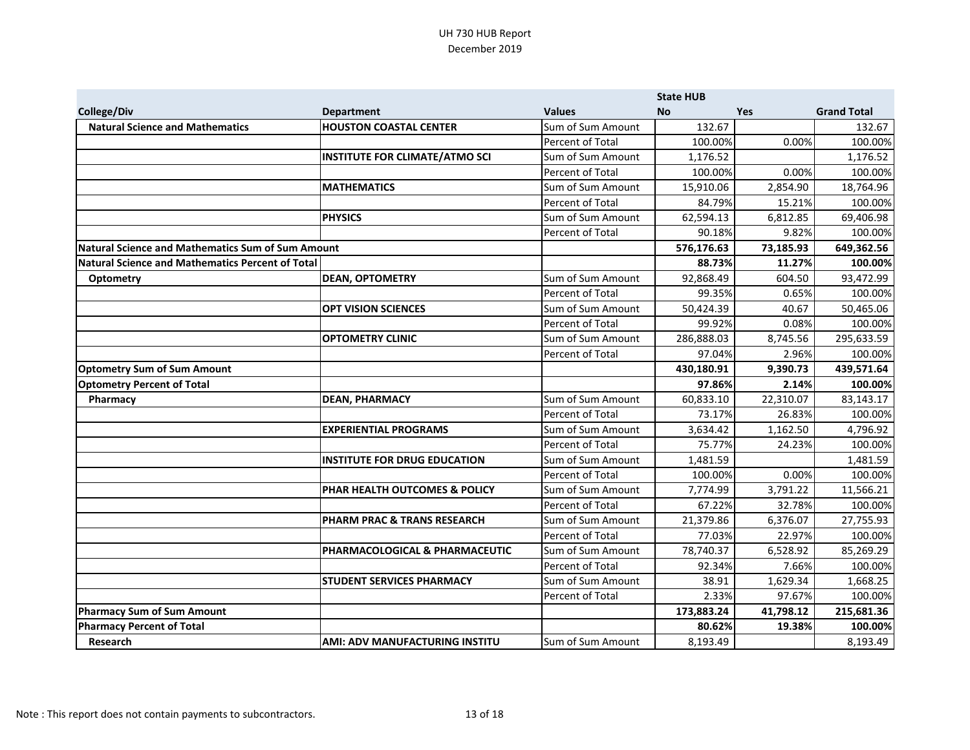|                                                          |                                       |                   | <b>State HUB</b> |            |                    |
|----------------------------------------------------------|---------------------------------------|-------------------|------------------|------------|--------------------|
| <b>College/Div</b>                                       | <b>Department</b>                     | <b>Values</b>     | <b>No</b>        | <b>Yes</b> | <b>Grand Total</b> |
| <b>Natural Science and Mathematics</b>                   | <b>HOUSTON COASTAL CENTER</b>         | Sum of Sum Amount | 132.67           |            | 132.67             |
|                                                          |                                       | Percent of Total  | 100.00%          | 0.00%      | 100.00%            |
|                                                          | <b>INSTITUTE FOR CLIMATE/ATMO SCI</b> | Sum of Sum Amount | 1,176.52         |            | 1,176.52           |
|                                                          |                                       | Percent of Total  | 100.00%          | 0.00%      | 100.00%            |
|                                                          | <b>MATHEMATICS</b>                    | Sum of Sum Amount | 15,910.06        | 2,854.90   | 18,764.96          |
|                                                          |                                       | Percent of Total  | 84.79%           | 15.21%     | 100.00%            |
|                                                          | <b>PHYSICS</b>                        | Sum of Sum Amount | 62,594.13        | 6,812.85   | 69,406.98          |
|                                                          |                                       | Percent of Total  | 90.18%           | 9.82%      | 100.00%            |
| <b>Natural Science and Mathematics Sum of Sum Amount</b> |                                       |                   | 576,176.63       | 73,185.93  | 649,362.56         |
| <b>Natural Science and Mathematics Percent of Total</b>  |                                       |                   | 88.73%           | 11.27%     | 100.00%            |
| Optometry                                                | <b>DEAN, OPTOMETRY</b>                | Sum of Sum Amount | 92,868.49        | 604.50     | 93,472.99          |
|                                                          |                                       | Percent of Total  | 99.35%           | 0.65%      | 100.00%            |
|                                                          | <b>OPT VISION SCIENCES</b>            | Sum of Sum Amount | 50,424.39        | 40.67      | 50,465.06          |
|                                                          |                                       | Percent of Total  | 99.92%           | 0.08%      | 100.00%            |
|                                                          | <b>OPTOMETRY CLINIC</b>               | Sum of Sum Amount | 286,888.03       | 8,745.56   | 295,633.59         |
|                                                          |                                       | Percent of Total  | 97.04%           | 2.96%      | 100.00%            |
| <b>Optometry Sum of Sum Amount</b>                       |                                       |                   | 430,180.91       | 9,390.73   | 439,571.64         |
| <b>Optometry Percent of Total</b>                        |                                       |                   | 97.86%           | 2.14%      | 100.00%            |
| Pharmacy                                                 | <b>DEAN, PHARMACY</b>                 | Sum of Sum Amount | 60,833.10        | 22,310.07  | 83,143.17          |
|                                                          |                                       | Percent of Total  | 73.17%           | 26.83%     | 100.00%            |
|                                                          | <b>EXPERIENTIAL PROGRAMS</b>          | Sum of Sum Amount | 3,634.42         | 1,162.50   | 4,796.92           |
|                                                          |                                       | Percent of Total  | 75.77%           | 24.23%     | 100.00%            |
|                                                          | <b>INSTITUTE FOR DRUG EDUCATION</b>   | Sum of Sum Amount | 1,481.59         |            | 1,481.59           |
|                                                          |                                       | Percent of Total  | 100.00%          | 0.00%      | 100.00%            |
|                                                          | PHAR HEALTH OUTCOMES & POLICY         | Sum of Sum Amount | 7,774.99         | 3,791.22   | 11,566.21          |
|                                                          |                                       | Percent of Total  | 67.22%           | 32.78%     | 100.00%            |
|                                                          | PHARM PRAC & TRANS RESEARCH           | Sum of Sum Amount | 21,379.86        | 6,376.07   | 27,755.93          |
|                                                          |                                       | Percent of Total  | 77.03%           | 22.97%     | 100.00%            |
|                                                          | PHARMACOLOGICAL & PHARMACEUTIC        | Sum of Sum Amount | 78,740.37        | 6,528.92   | 85,269.29          |
|                                                          |                                       | Percent of Total  | 92.34%           | 7.66%      | 100.00%            |
|                                                          | <b>STUDENT SERVICES PHARMACY</b>      | Sum of Sum Amount | 38.91            | 1,629.34   | 1,668.25           |
|                                                          |                                       | Percent of Total  | 2.33%            | 97.67%     | 100.00%            |
| <b>Pharmacy Sum of Sum Amount</b>                        |                                       |                   | 173,883.24       | 41,798.12  | 215,681.36         |
| <b>Pharmacy Percent of Total</b>                         |                                       |                   | 80.62%           | 19.38%     | 100.00%            |
| Research                                                 | <b>AMI: ADV MANUFACTURING INSTITU</b> | Sum of Sum Amount | 8,193.49         |            | 8,193.49           |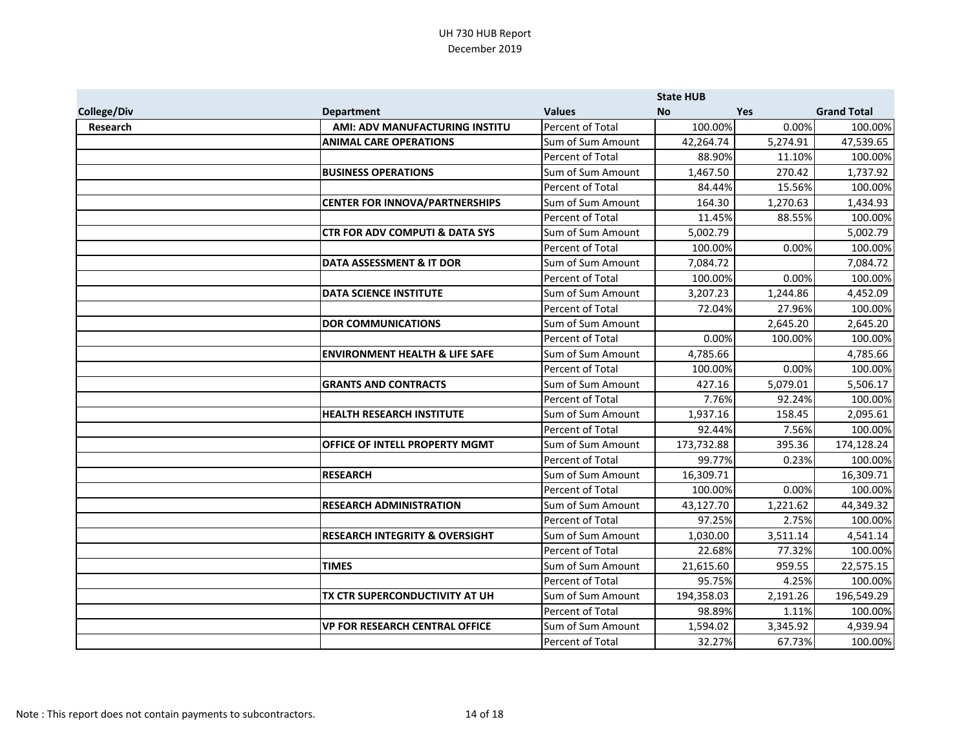|                    |                                           |                   | <b>State HUB</b> |            |                    |
|--------------------|-------------------------------------------|-------------------|------------------|------------|--------------------|
| <b>College/Div</b> | <b>Department</b>                         | <b>Values</b>     | <b>No</b>        | <b>Yes</b> | <b>Grand Total</b> |
| Research           | AMI: ADV MANUFACTURING INSTITU            | Percent of Total  | 100.00%          | 0.00%      | 100.00%            |
|                    | <b>ANIMAL CARE OPERATIONS</b>             | Sum of Sum Amount | 42,264.74        | 5,274.91   | 47,539.65          |
|                    |                                           | Percent of Total  | 88.90%           | 11.10%     | 100.00%            |
|                    | <b>BUSINESS OPERATIONS</b>                | Sum of Sum Amount | 1,467.50         | 270.42     | 1,737.92           |
|                    |                                           | Percent of Total  | 84.44%           | 15.56%     | 100.00%            |
|                    | <b>CENTER FOR INNOVA/PARTNERSHIPS</b>     | Sum of Sum Amount | 164.30           | 1,270.63   | 1,434.93           |
|                    |                                           | Percent of Total  | 11.45%           | 88.55%     | 100.00%            |
|                    | <b>CTR FOR ADV COMPUTI &amp; DATA SYS</b> | Sum of Sum Amount | 5,002.79         |            | 5,002.79           |
|                    |                                           | Percent of Total  | 100.00%          | 0.00%      | 100.00%            |
|                    | DATA ASSESSMENT & IT DOR                  | Sum of Sum Amount | 7,084.72         |            | 7,084.72           |
|                    |                                           | Percent of Total  | 100.00%          | 0.00%      | 100.00%            |
|                    | <b>DATA SCIENCE INSTITUTE</b>             | Sum of Sum Amount | 3,207.23         | 1,244.86   | 4,452.09           |
|                    |                                           | Percent of Total  | 72.04%           | 27.96%     | 100.00%            |
|                    | <b>DOR COMMUNICATIONS</b>                 | Sum of Sum Amount |                  | 2,645.20   | 2,645.20           |
|                    |                                           | Percent of Total  | 0.00%            | 100.00%    | 100.00%            |
|                    | <b>ENVIRONMENT HEALTH &amp; LIFE SAFE</b> | Sum of Sum Amount | 4,785.66         |            | 4,785.66           |
|                    |                                           | Percent of Total  | 100.00%          | 0.00%      | 100.00%            |
|                    | <b>GRANTS AND CONTRACTS</b>               | Sum of Sum Amount | 427.16           | 5,079.01   | 5,506.17           |
|                    |                                           | Percent of Total  | 7.76%            | 92.24%     | 100.00%            |
|                    | <b>HEALTH RESEARCH INSTITUTE</b>          | Sum of Sum Amount | 1,937.16         | 158.45     | 2,095.61           |
|                    |                                           | Percent of Total  | 92.44%           | 7.56%      | 100.00%            |
|                    | <b>OFFICE OF INTELL PROPERTY MGMT</b>     | Sum of Sum Amount | 173,732.88       | 395.36     | 174,128.24         |
|                    |                                           | Percent of Total  | 99.77%           | 0.23%      | 100.00%            |
|                    | <b>RESEARCH</b>                           | Sum of Sum Amount | 16,309.71        |            | 16,309.71          |
|                    |                                           | Percent of Total  | 100.00%          | 0.00%      | 100.00%            |
|                    | <b>RESEARCH ADMINISTRATION</b>            | Sum of Sum Amount | 43,127.70        | 1,221.62   | 44,349.32          |
|                    |                                           | Percent of Total  | 97.25%           | 2.75%      | 100.00%            |
|                    | <b>RESEARCH INTEGRITY &amp; OVERSIGHT</b> | Sum of Sum Amount | 1,030.00         | 3,511.14   | 4,541.14           |
|                    |                                           | Percent of Total  | 22.68%           | 77.32%     | 100.00%            |
|                    | <b>TIMES</b>                              | Sum of Sum Amount | 21,615.60        | 959.55     | 22,575.15          |
|                    |                                           | Percent of Total  | 95.75%           | 4.25%      | 100.00%            |
|                    | TX CTR SUPERCONDUCTIVITY AT UH            | Sum of Sum Amount | 194,358.03       | 2,191.26   | 196,549.29         |
|                    |                                           | Percent of Total  | 98.89%           | 1.11%      | 100.00%            |
|                    | <b>VP FOR RESEARCH CENTRAL OFFICE</b>     | Sum of Sum Amount | 1,594.02         | 3,345.92   | 4,939.94           |
|                    |                                           | Percent of Total  | 32.27%           | 67.73%     | 100.00%            |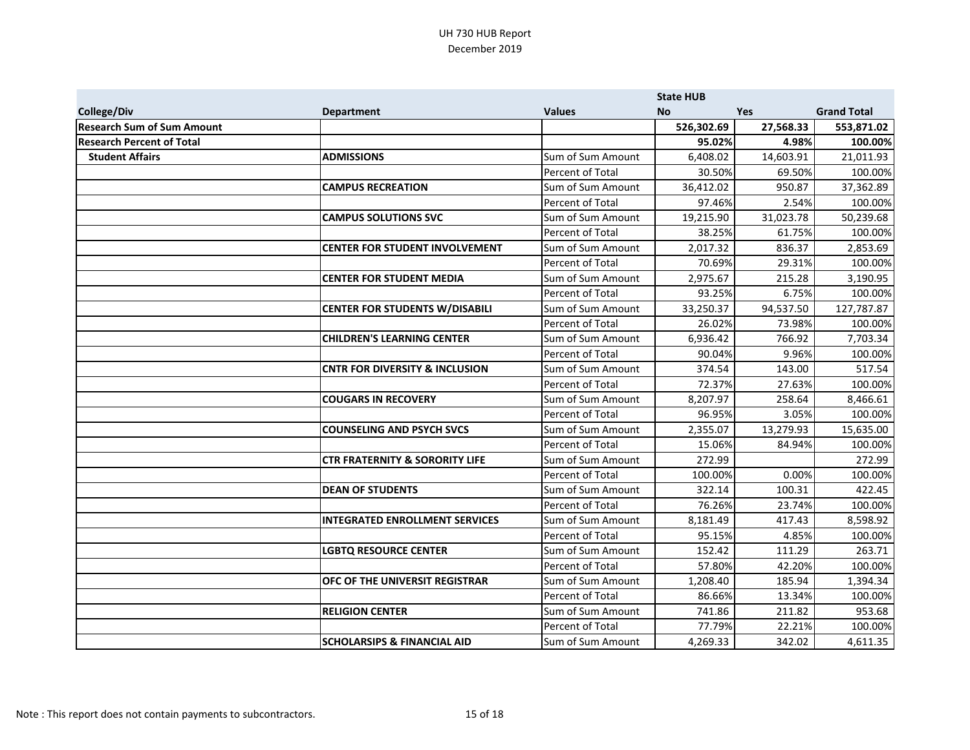|                                   |                                           |                         | <b>State HUB</b> |            |                    |
|-----------------------------------|-------------------------------------------|-------------------------|------------------|------------|--------------------|
| <b>College/Div</b>                | <b>Department</b>                         | <b>Values</b>           | <b>No</b>        | <b>Yes</b> | <b>Grand Total</b> |
| <b>Research Sum of Sum Amount</b> |                                           |                         | 526,302.69       | 27,568.33  | 553,871.02         |
| <b>Research Percent of Total</b>  |                                           |                         | 95.02%           | 4.98%      | 100.00%            |
| <b>Student Affairs</b>            | <b>ADMISSIONS</b>                         | Sum of Sum Amount       | 6,408.02         | 14,603.91  | 21,011.93          |
|                                   |                                           | <b>Percent of Total</b> | 30.50%           | 69.50%     | 100.00%            |
|                                   | <b>CAMPUS RECREATION</b>                  | Sum of Sum Amount       | 36,412.02        | 950.87     | 37,362.89          |
|                                   |                                           | Percent of Total        | 97.46%           | 2.54%      | 100.00%            |
|                                   | <b>CAMPUS SOLUTIONS SVC</b>               | Sum of Sum Amount       | 19,215.90        | 31,023.78  | 50,239.68          |
|                                   |                                           | Percent of Total        | 38.25%           | 61.75%     | 100.00%            |
|                                   | <b>CENTER FOR STUDENT INVOLVEMENT</b>     | Sum of Sum Amount       | 2,017.32         | 836.37     | 2,853.69           |
|                                   |                                           | Percent of Total        | 70.69%           | 29.31%     | 100.00%            |
|                                   | <b>CENTER FOR STUDENT MEDIA</b>           | Sum of Sum Amount       | 2,975.67         | 215.28     | 3,190.95           |
|                                   |                                           | Percent of Total        | 93.25%           | 6.75%      | 100.00%            |
|                                   | <b>CENTER FOR STUDENTS W/DISABILI</b>     | Sum of Sum Amount       | 33,250.37        | 94,537.50  | 127,787.87         |
|                                   |                                           | Percent of Total        | 26.02%           | 73.98%     | 100.00%            |
|                                   | <b>CHILDREN'S LEARNING CENTER</b>         | Sum of Sum Amount       | 6,936.42         | 766.92     | 7,703.34           |
|                                   |                                           | Percent of Total        | 90.04%           | 9.96%      | 100.00%            |
|                                   | <b>CNTR FOR DIVERSITY &amp; INCLUSION</b> | Sum of Sum Amount       | 374.54           | 143.00     | 517.54             |
|                                   |                                           | Percent of Total        | 72.37%           | 27.63%     | 100.00%            |
|                                   | <b>COUGARS IN RECOVERY</b>                | Sum of Sum Amount       | 8,207.97         | 258.64     | 8,466.61           |
|                                   |                                           | Percent of Total        | 96.95%           | 3.05%      | 100.00%            |
|                                   | <b>COUNSELING AND PSYCH SVCS</b>          | Sum of Sum Amount       | 2,355.07         | 13,279.93  | 15,635.00          |
|                                   |                                           | Percent of Total        | 15.06%           | 84.94%     | 100.00%            |
|                                   | <b>CTR FRATERNITY &amp; SORORITY LIFE</b> | Sum of Sum Amount       | 272.99           |            | 272.99             |
|                                   |                                           | Percent of Total        | 100.00%          | 0.00%      | 100.00%            |
|                                   | <b>DEAN OF STUDENTS</b>                   | Sum of Sum Amount       | 322.14           | 100.31     | 422.45             |
|                                   |                                           | Percent of Total        | 76.26%           | 23.74%     | 100.00%            |
|                                   | <b>INTEGRATED ENROLLMENT SERVICES</b>     | Sum of Sum Amount       | 8,181.49         | 417.43     | 8,598.92           |
|                                   |                                           | Percent of Total        | 95.15%           | 4.85%      | 100.00%            |
|                                   | <b>LGBTQ RESOURCE CENTER</b>              | Sum of Sum Amount       | 152.42           | 111.29     | 263.71             |
|                                   |                                           | Percent of Total        | 57.80%           | 42.20%     | 100.00%            |
|                                   | <b>OFC OF THE UNIVERSIT REGISTRAR</b>     | Sum of Sum Amount       | 1,208.40         | 185.94     | 1,394.34           |
|                                   |                                           | Percent of Total        | 86.66%           | 13.34%     | 100.00%            |
|                                   | <b>RELIGION CENTER</b>                    | Sum of Sum Amount       | 741.86           | 211.82     | 953.68             |
|                                   |                                           | Percent of Total        | 77.79%           | 22.21%     | 100.00%            |
|                                   | <b>SCHOLARSIPS &amp; FINANCIAL AID</b>    | Sum of Sum Amount       | 4,269.33         | 342.02     | 4,611.35           |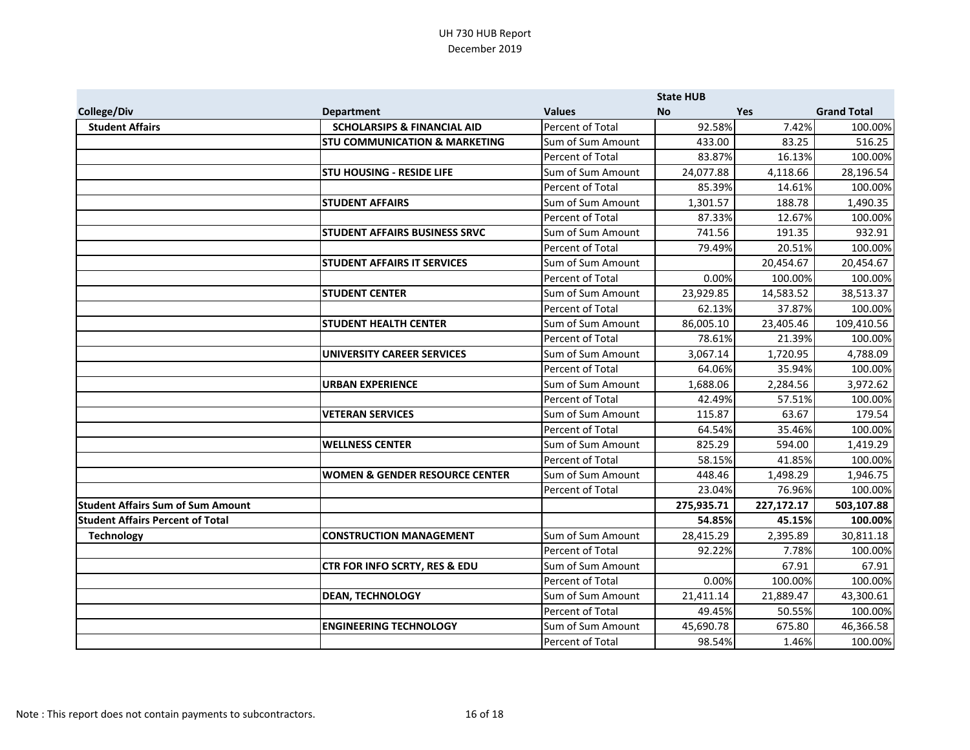|                                          |                                           |                   | <b>State HUB</b> |            |                    |
|------------------------------------------|-------------------------------------------|-------------------|------------------|------------|--------------------|
| College/Div                              | <b>Department</b>                         | <b>Values</b>     | <b>No</b>        | <b>Yes</b> | <b>Grand Total</b> |
| <b>Student Affairs</b>                   | <b>SCHOLARSIPS &amp; FINANCIAL AID</b>    | Percent of Total  | 92.58%           | 7.42%      | 100.00%            |
|                                          | <b>STU COMMUNICATION &amp; MARKETING</b>  | Sum of Sum Amount | 433.00           | 83.25      | 516.25             |
|                                          |                                           | Percent of Total  | 83.87%           | 16.13%     | 100.00%            |
|                                          | <b>STU HOUSING - RESIDE LIFE</b>          | Sum of Sum Amount | 24,077.88        | 4,118.66   | 28,196.54          |
|                                          |                                           | Percent of Total  | 85.39%           | 14.61%     | 100.00%            |
|                                          | <b>STUDENT AFFAIRS</b>                    | Sum of Sum Amount | 1,301.57         | 188.78     | 1,490.35           |
|                                          |                                           | Percent of Total  | 87.33%           | 12.67%     | 100.00%            |
|                                          | <b>STUDENT AFFAIRS BUSINESS SRVC</b>      | Sum of Sum Amount | 741.56           | 191.35     | 932.91             |
|                                          |                                           | Percent of Total  | 79.49%           | 20.51%     | 100.00%            |
|                                          | <b>STUDENT AFFAIRS IT SERVICES</b>        | Sum of Sum Amount |                  | 20,454.67  | 20,454.67          |
|                                          |                                           | Percent of Total  | 0.00%            | 100.00%    | 100.00%            |
|                                          | <b>STUDENT CENTER</b>                     | Sum of Sum Amount | 23,929.85        | 14,583.52  | 38,513.37          |
|                                          |                                           | Percent of Total  | 62.13%           | 37.87%     | 100.00%            |
|                                          | <b>STUDENT HEALTH CENTER</b>              | Sum of Sum Amount | 86,005.10        | 23,405.46  | 109,410.56         |
|                                          |                                           | Percent of Total  | 78.61%           | 21.39%     | 100.00%            |
|                                          | <b>UNIVERSITY CAREER SERVICES</b>         | Sum of Sum Amount | 3,067.14         | 1,720.95   | 4,788.09           |
|                                          |                                           | Percent of Total  | 64.06%           | 35.94%     | 100.00%            |
|                                          | <b>URBAN EXPERIENCE</b>                   | Sum of Sum Amount | 1,688.06         | 2,284.56   | 3,972.62           |
|                                          |                                           | Percent of Total  | 42.49%           | 57.51%     | 100.00%            |
|                                          | <b>VETERAN SERVICES</b>                   | Sum of Sum Amount | 115.87           | 63.67      | 179.54             |
|                                          |                                           | Percent of Total  | 64.54%           | 35.46%     | 100.00%            |
|                                          | <b>WELLNESS CENTER</b>                    | Sum of Sum Amount | 825.29           | 594.00     | 1,419.29           |
|                                          |                                           | Percent of Total  | 58.15%           | 41.85%     | 100.00%            |
|                                          | <b>WOMEN &amp; GENDER RESOURCE CENTER</b> | Sum of Sum Amount | 448.46           | 1,498.29   | 1,946.75           |
|                                          |                                           | Percent of Total  | 23.04%           | 76.96%     | 100.00%            |
| <b>Student Affairs Sum of Sum Amount</b> |                                           |                   | 275,935.71       | 227,172.17 | 503,107.88         |
| <b>Student Affairs Percent of Total</b>  |                                           |                   | 54.85%           | 45.15%     | 100.00%            |
| <b>Technology</b>                        | <b>CONSTRUCTION MANAGEMENT</b>            | Sum of Sum Amount | 28,415.29        | 2,395.89   | 30,811.18          |
|                                          |                                           | Percent of Total  | 92.22%           | 7.78%      | 100.00%            |
|                                          | <b>CTR FOR INFO SCRTY, RES &amp; EDU</b>  | Sum of Sum Amount |                  | 67.91      | 67.91              |
|                                          |                                           | Percent of Total  | 0.00%            | 100.00%    | 100.00%            |
|                                          | <b>DEAN, TECHNOLOGY</b>                   | Sum of Sum Amount | 21,411.14        | 21,889.47  | 43,300.61          |
|                                          |                                           | Percent of Total  | 49.45%           | 50.55%     | 100.00%            |
|                                          | <b>ENGINEERING TECHNOLOGY</b>             | Sum of Sum Amount | 45,690.78        | 675.80     | 46,366.58          |
|                                          |                                           | Percent of Total  | 98.54%           | 1.46%      | 100.00%            |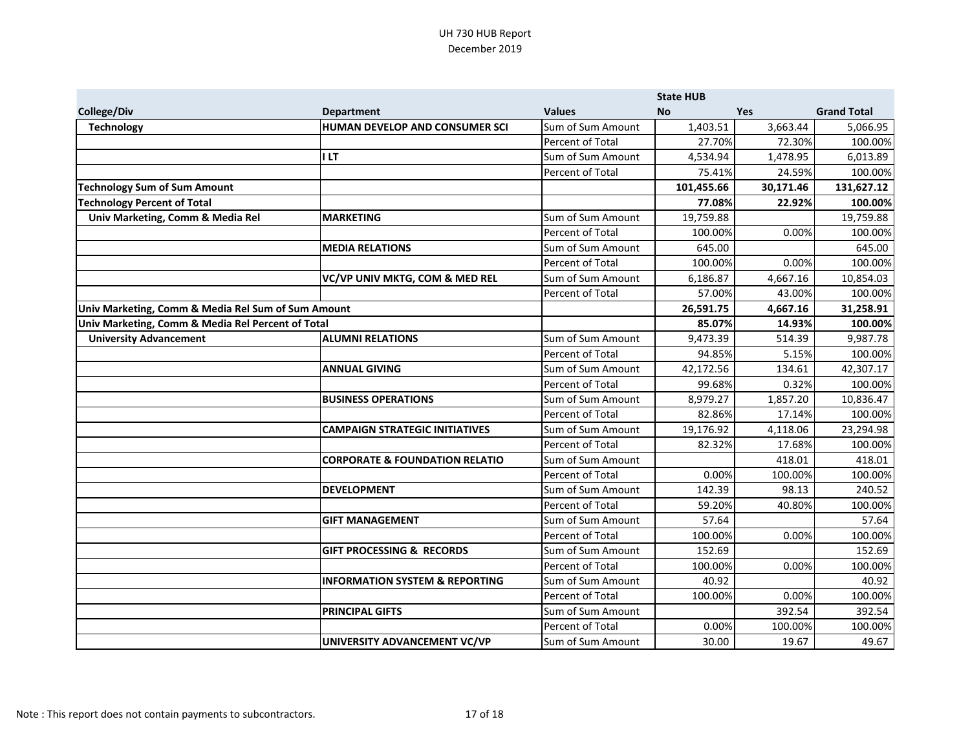|                                                    |                                           |                   | <b>State HUB</b> |            |                    |
|----------------------------------------------------|-------------------------------------------|-------------------|------------------|------------|--------------------|
| <b>College/Div</b>                                 | <b>Department</b>                         | <b>Values</b>     | <b>No</b>        | <b>Yes</b> | <b>Grand Total</b> |
| <b>Technology</b>                                  | HUMAN DEVELOP AND CONSUMER SCI            | Sum of Sum Amount | 1,403.51         | 3,663.44   | 5,066.95           |
|                                                    |                                           | Percent of Total  | 27.70%           | 72.30%     | 100.00%            |
|                                                    | <b>ILT</b>                                | Sum of Sum Amount | 4,534.94         | 1,478.95   | 6,013.89           |
|                                                    |                                           | Percent of Total  | 75.41%           | 24.59%     | 100.00%            |
| <b>Technology Sum of Sum Amount</b>                |                                           |                   | 101,455.66       | 30,171.46  | 131,627.12         |
| <b>Technology Percent of Total</b>                 |                                           |                   | 77.08%           | 22.92%     | 100.00%            |
| Univ Marketing, Comm & Media Rel                   | <b>MARKETING</b>                          | Sum of Sum Amount | 19,759.88        |            | 19,759.88          |
|                                                    |                                           | Percent of Total  | 100.00%          | 0.00%      | 100.00%            |
|                                                    | <b>MEDIA RELATIONS</b>                    | Sum of Sum Amount | 645.00           |            | 645.00             |
|                                                    |                                           | Percent of Total  | 100.00%          | 0.00%      | 100.00%            |
|                                                    | VC/VP UNIV MKTG, COM & MED REL            | Sum of Sum Amount | 6,186.87         | 4,667.16   | 10,854.03          |
|                                                    |                                           | Percent of Total  | 57.00%           | 43.00%     | 100.00%            |
| Univ Marketing, Comm & Media Rel Sum of Sum Amount |                                           |                   | 26,591.75        | 4,667.16   | 31,258.91          |
| Univ Marketing, Comm & Media Rel Percent of Total  |                                           |                   | 85.07%           | 14.93%     | 100.00%            |
| <b>University Advancement</b>                      | <b>ALUMNI RELATIONS</b>                   | Sum of Sum Amount | 9,473.39         | 514.39     | 9,987.78           |
|                                                    |                                           | Percent of Total  | 94.85%           | 5.15%      | 100.00%            |
|                                                    | <b>ANNUAL GIVING</b>                      | Sum of Sum Amount | 42,172.56        | 134.61     | 42,307.17          |
|                                                    |                                           | Percent of Total  | 99.68%           | 0.32%      | 100.00%            |
|                                                    | <b>BUSINESS OPERATIONS</b>                | Sum of Sum Amount | 8,979.27         | 1,857.20   | 10,836.47          |
|                                                    |                                           | Percent of Total  | 82.86%           | 17.14%     | 100.00%            |
|                                                    | <b>CAMPAIGN STRATEGIC INITIATIVES</b>     | Sum of Sum Amount | 19,176.92        | 4,118.06   | 23,294.98          |
|                                                    |                                           | Percent of Total  | 82.32%           | 17.68%     | 100.00%            |
|                                                    | <b>CORPORATE &amp; FOUNDATION RELATIO</b> | Sum of Sum Amount |                  | 418.01     | 418.01             |
|                                                    |                                           | Percent of Total  | 0.00%            | 100.00%    | 100.00%            |
|                                                    | <b>DEVELOPMENT</b>                        | Sum of Sum Amount | 142.39           | 98.13      | 240.52             |
|                                                    |                                           | Percent of Total  | 59.20%           | 40.80%     | 100.00%            |
|                                                    | <b>GIFT MANAGEMENT</b>                    | Sum of Sum Amount | 57.64            |            | 57.64              |
|                                                    |                                           | Percent of Total  | 100.00%          | 0.00%      | 100.00%            |
|                                                    | <b>GIFT PROCESSING &amp; RECORDS</b>      | Sum of Sum Amount | 152.69           |            | 152.69             |
|                                                    |                                           | Percent of Total  | 100.00%          | 0.00%      | 100.00%            |
|                                                    | <b>INFORMATION SYSTEM &amp; REPORTING</b> | Sum of Sum Amount | 40.92            |            | 40.92              |
|                                                    |                                           | Percent of Total  | 100.00%          | 0.00%      | 100.00%            |
|                                                    | <b>PRINCIPAL GIFTS</b>                    | Sum of Sum Amount |                  | 392.54     | 392.54             |
|                                                    |                                           | Percent of Total  | 0.00%            | 100.00%    | 100.00%            |
|                                                    | UNIVERSITY ADVANCEMENT VC/VP              | Sum of Sum Amount | 30.00            | 19.67      | 49.67              |